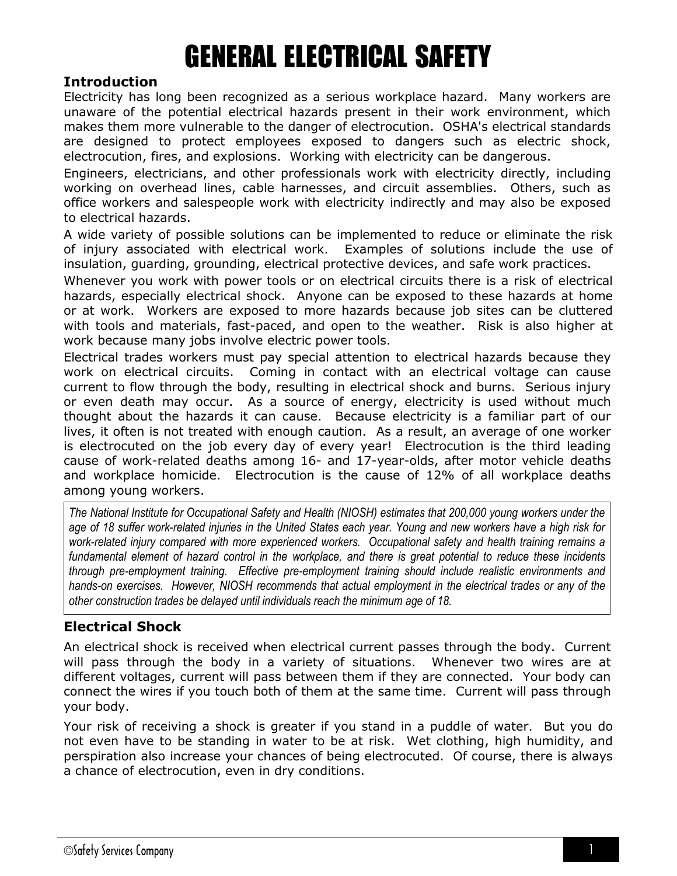# GENERAL ELECTRICAL SAFETY

# **Introduction**

Electricity has long been recognized as a serious workplace hazard. Many workers are unaware of the potential electrical hazards present in their work environment, which makes them more vulnerable to the danger of electrocution. OSHA's electrical standards are designed to protect employees exposed to dangers such as electric shock, electrocution, fires, and explosions. Working with electricity can be dangerous.

Engineers, electricians, and other professionals work with electricity directly, including working on overhead lines, cable harnesses, and circuit assemblies. Others, such as office workers and salespeople work with electricity indirectly and may also be exposed to electrical hazards.

A wide variety of possible solutions can be implemented to reduce or eliminate the risk of injury associated with electrical work. Examples of solutions include the use of insulation, guarding, grounding, electrical protective devices, and safe work practices.

Whenever you work with power tools or on electrical circuits there is a risk of electrical hazards, especially electrical shock. Anyone can be exposed to these hazards at home or at work. Workers are exposed to more hazards because job sites can be cluttered with tools and materials, fast-paced, and open to the weather. Risk is also higher at work because many jobs involve electric power tools.

Electrical trades workers must pay special attention to electrical hazards because they work on electrical circuits. Coming in contact with an electrical voltage can cause current to flow through the body, resulting in electrical shock and burns. Serious injury or even death may occur. As a source of energy, electricity is used without much thought about the hazards it can cause. Because electricity is a familiar part of our lives, it often is not treated with enough caution. As a result, an average of one worker is electrocuted on the job every day of every year! Electrocution is the third leading cause of work-related deaths among 16- and 17-year-olds, after motor vehicle deaths and workplace homicide. Electrocution is the cause of 12% of all workplace deaths among young workers.

*The National Institute for Occupational Safety and Health (NIOSH) estimates that 200,000 young workers under the age of 18 suffer work-related injuries in the United States each year. Young and new workers have a high risk for work-related injury compared with more experienced workers. Occupational safety and health training remains a fundamental element of hazard control in the workplace, and there is great potential to reduce these incidents through pre-employment training. Effective pre-employment training should include realistic environments and hands-on exercises. However, NIOSH recommends that actual employment in the electrical trades or any of the other construction trades be delayed until individuals reach the minimum age of 18.*

# **Electrical Shock**

An electrical shock is received when electrical current passes through the body. Current will pass through the body in a variety of situations. Whenever two wires are at different voltages, current will pass between them if they are connected. Your body can connect the wires if you touch both of them at the same time. Current will pass through your body.

Your risk of receiving a shock is greater if you stand in a puddle of water. But you do not even have to be standing in water to be at risk. Wet clothing, high humidity, and perspiration also increase your chances of being electrocuted. Of course, there is always a chance of electrocution, even in dry conditions.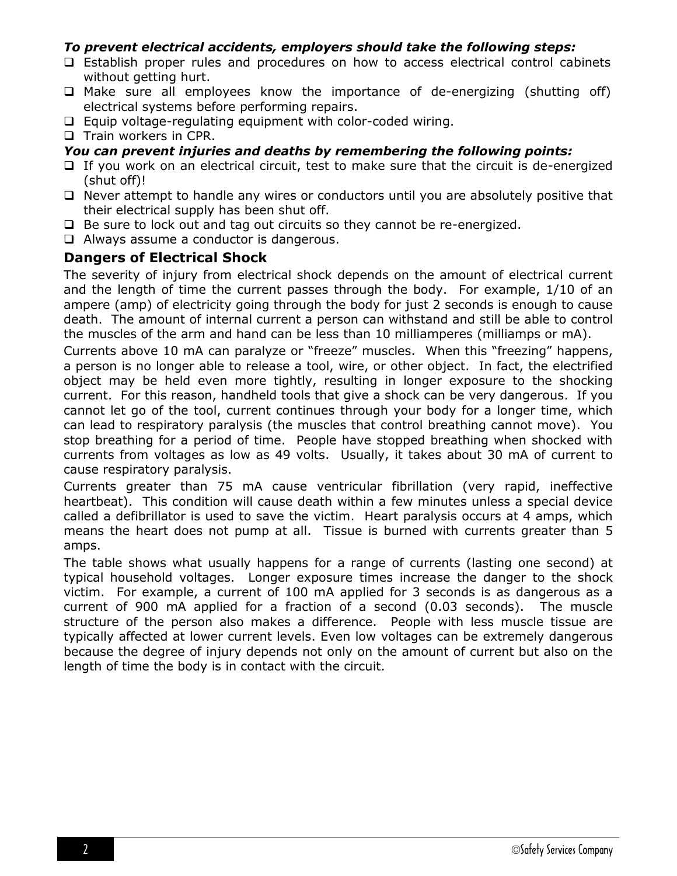#### *To prevent electrical accidents, employers should take the following steps:*

- $\Box$  Establish proper rules and procedures on how to access electrical control cabinets without getting hurt.
- $\Box$  Make sure all employees know the importance of de-energizing (shutting off) electrical systems before performing repairs.
- $\Box$  Equip voltage-regulating equipment with color-coded wiring.
- $\Box$  Train workers in CPR.

#### *You can prevent injuries and deaths by remembering the following points:*

- $\Box$  If you work on an electrical circuit, test to make sure that the circuit is de-energized (shut off)!
- $\Box$  Never attempt to handle any wires or conductors until you are absolutely positive that their electrical supply has been shut off.
- $\Box$  Be sure to lock out and tag out circuits so they cannot be re-energized.
- Always assume a conductor is dangerous.

#### **Dangers of Electrical Shock**

The severity of injury from electrical shock depends on the amount of electrical current and the length of time the current passes through the body. For example, 1/10 of an ampere (amp) of electricity going through the body for just 2 seconds is enough to cause death. The amount of internal current a person can withstand and still be able to control the muscles of the arm and hand can be less than 10 milliamperes (milliamps or mA).

Currents above 10 mA can paralyze or "freeze" muscles. When this "freezing" happens, a person is no longer able to release a tool, wire, or other object. In fact, the electrified object may be held even more tightly, resulting in longer exposure to the shocking current. For this reason, handheld tools that give a shock can be very dangerous. If you cannot let go of the tool, current continues through your body for a longer time, which can lead to respiratory paralysis (the muscles that control breathing cannot move). You stop breathing for a period of time. People have stopped breathing when shocked with currents from voltages as low as 49 volts. Usually, it takes about 30 mA of current to cause respiratory paralysis.

Currents greater than 75 mA cause ventricular fibrillation (very rapid, ineffective heartbeat). This condition will cause death within a few minutes unless a special device called a defibrillator is used to save the victim. Heart paralysis occurs at 4 amps, which means the heart does not pump at all. Tissue is burned with currents greater than 5 amps.

The table shows what usually happens for a range of currents (lasting one second) at typical household voltages. Longer exposure times increase the danger to the shock victim. For example, a current of 100 mA applied for 3 seconds is as dangerous as a current of 900 mA applied for a fraction of a second (0.03 seconds). The muscle structure of the person also makes a difference. People with less muscle tissue are typically affected at lower current levels. Even low voltages can be extremely dangerous because the degree of injury depends not only on the amount of current but also on the length of time the body is in contact with the circuit.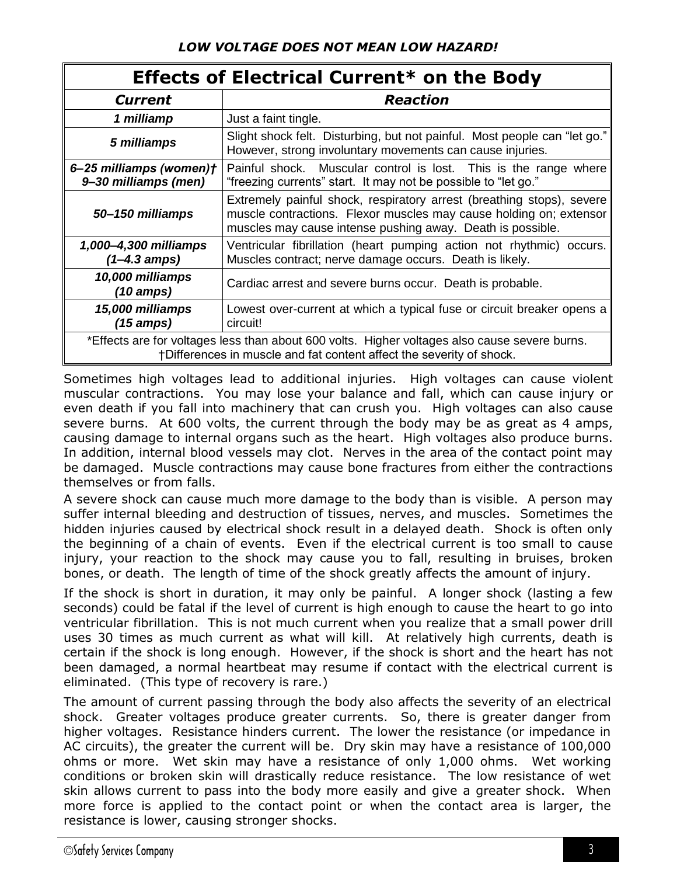#### *LOW VOLTAGE DOES NOT MEAN LOW HAZARD!*

| Effects of Electrical Current* on the Body                                                                                                                            |                                                                                                                                                                                                           |  |  |  |  |  |
|-----------------------------------------------------------------------------------------------------------------------------------------------------------------------|-----------------------------------------------------------------------------------------------------------------------------------------------------------------------------------------------------------|--|--|--|--|--|
| <b>Current</b>                                                                                                                                                        | <b>Reaction</b>                                                                                                                                                                                           |  |  |  |  |  |
| 1 milliamp                                                                                                                                                            | Just a faint tingle.                                                                                                                                                                                      |  |  |  |  |  |
| 5 milliamps                                                                                                                                                           | Slight shock felt. Disturbing, but not painful. Most people can "let go."<br>However, strong involuntary movements can cause injuries.                                                                    |  |  |  |  |  |
| 6-25 milliamps (women)t<br>9-30 milliamps (men)                                                                                                                       | Painful shock. Muscular control is lost. This is the range where<br>"freezing currents" start. It may not be possible to "let go."                                                                        |  |  |  |  |  |
| 50–150 milliamps                                                                                                                                                      | Extremely painful shock, respiratory arrest (breathing stops), severe<br>muscle contractions. Flexor muscles may cause holding on; extensor<br>muscles may cause intense pushing away. Death is possible. |  |  |  |  |  |
| 1,000-4,300 milliamps<br>$(1 - 4.3 \text{ amps})$                                                                                                                     | Ventricular fibrillation (heart pumping action not rhythmic) occurs.<br>Muscles contract; nerve damage occurs. Death is likely.                                                                           |  |  |  |  |  |
| 10,000 milliamps<br>$(10 \text{ amps})$                                                                                                                               | Cardiac arrest and severe burns occur. Death is probable.                                                                                                                                                 |  |  |  |  |  |
| 15,000 milliamps<br>(15 amps)                                                                                                                                         | Lowest over-current at which a typical fuse or circuit breaker opens a<br>circuit!                                                                                                                        |  |  |  |  |  |
| *Effects are for voltages less than about 600 volts. Higher voltages also cause severe burns.<br>†Differences in muscle and fat content affect the severity of shock. |                                                                                                                                                                                                           |  |  |  |  |  |

Sometimes high voltages lead to additional injuries. High voltages can cause violent muscular contractions. You may lose your balance and fall, which can cause injury or even death if you fall into machinery that can crush you. High voltages can also cause severe burns. At 600 volts, the current through the body may be as great as 4 amps, causing damage to internal organs such as the heart. High voltages also produce burns. In addition, internal blood vessels may clot. Nerves in the area of the contact point may be damaged. Muscle contractions may cause bone fractures from either the contractions themselves or from falls.

A severe shock can cause much more damage to the body than is visible. A person may suffer internal bleeding and destruction of tissues, nerves, and muscles. Sometimes the hidden injuries caused by electrical shock result in a delayed death. Shock is often only the beginning of a chain of events. Even if the electrical current is too small to cause injury, your reaction to the shock may cause you to fall, resulting in bruises, broken bones, or death. The length of time of the shock greatly affects the amount of injury.

If the shock is short in duration, it may only be painful. A longer shock (lasting a few seconds) could be fatal if the level of current is high enough to cause the heart to go into ventricular fibrillation. This is not much current when you realize that a small power drill uses 30 times as much current as what will kill. At relatively high currents, death is certain if the shock is long enough. However, if the shock is short and the heart has not been damaged, a normal heartbeat may resume if contact with the electrical current is eliminated. (This type of recovery is rare.)

The amount of current passing through the body also affects the severity of an electrical shock. Greater voltages produce greater currents. So, there is greater danger from higher voltages. Resistance hinders current. The lower the resistance (or impedance in AC circuits), the greater the current will be. Dry skin may have a resistance of 100,000 ohms or more. Wet skin may have a resistance of only 1,000 ohms. Wet working conditions or broken skin will drastically reduce resistance. The low resistance of wet skin allows current to pass into the body more easily and give a greater shock. When more force is applied to the contact point or when the contact area is larger, the resistance is lower, causing stronger shocks.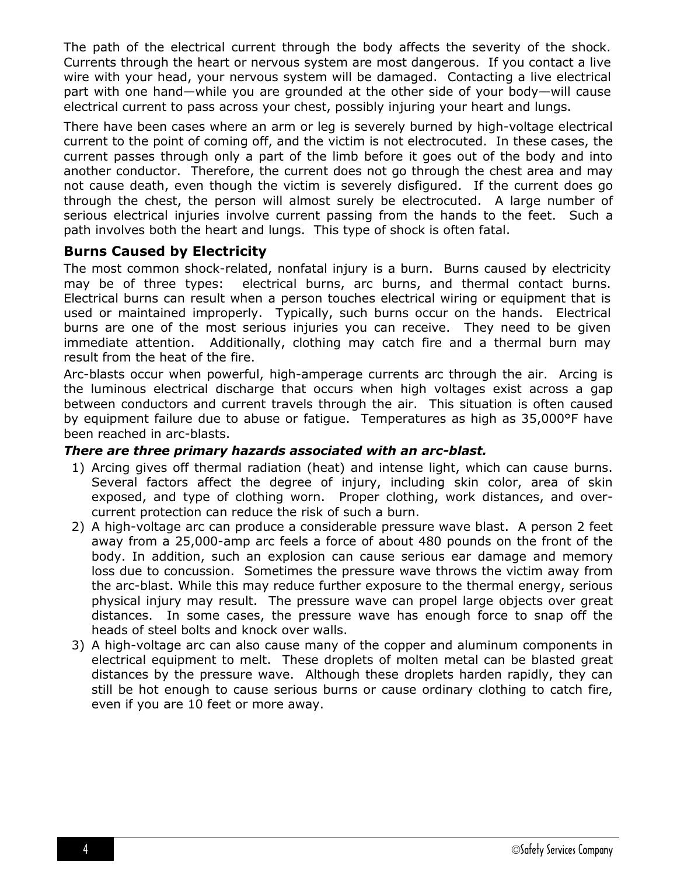The path of the electrical current through the body affects the severity of the shock. Currents through the heart or nervous system are most dangerous. If you contact a live wire with your head, your nervous system will be damaged. Contacting a live electrical part with one hand—while you are grounded at the other side of your body—will cause electrical current to pass across your chest, possibly injuring your heart and lungs.

There have been cases where an arm or leg is severely burned by high-voltage electrical current to the point of coming off, and the victim is not electrocuted. In these cases, the current passes through only a part of the limb before it goes out of the body and into another conductor. Therefore, the current does not go through the chest area and may not cause death, even though the victim is severely disfigured. If the current does go through the chest, the person will almost surely be electrocuted. A large number of serious electrical injuries involve current passing from the hands to the feet. Such a path involves both the heart and lungs. This type of shock is often fatal.

## **Burns Caused by Electricity**

The most common shock-related, nonfatal injury is a burn. Burns caused by electricity may be of three types: electrical burns, arc burns, and thermal contact burns. Electrical burns can result when a person touches electrical wiring or equipment that is used or maintained improperly. Typically, such burns occur on the hands. Electrical burns are one of the most serious injuries you can receive. They need to be given immediate attention. Additionally, clothing may catch fire and a thermal burn may result from the heat of the fire.

Arc-blasts occur when powerful, high-amperage currents arc through the air. Arcing is the luminous electrical discharge that occurs when high voltages exist across a gap between conductors and current travels through the air. This situation is often caused by equipment failure due to abuse or fatigue. Temperatures as high as 35,000°F have been reached in arc-blasts.

## *There are three primary hazards associated with an arc-blast.*

- 1) Arcing gives off thermal radiation (heat) and intense light, which can cause burns. Several factors affect the degree of injury, including skin color, area of skin exposed, and type of clothing worn. Proper clothing, work distances, and overcurrent protection can reduce the risk of such a burn.
- 2) A high-voltage arc can produce a considerable pressure wave blast. A person 2 feet away from a 25,000-amp arc feels a force of about 480 pounds on the front of the body. In addition, such an explosion can cause serious ear damage and memory loss due to concussion. Sometimes the pressure wave throws the victim away from the arc-blast. While this may reduce further exposure to the thermal energy, serious physical injury may result. The pressure wave can propel large objects over great distances. In some cases, the pressure wave has enough force to snap off the heads of steel bolts and knock over walls.
- 3) A high-voltage arc can also cause many of the copper and aluminum components in electrical equipment to melt. These droplets of molten metal can be blasted great distances by the pressure wave. Although these droplets harden rapidly, they can still be hot enough to cause serious burns or cause ordinary clothing to catch fire, even if you are 10 feet or more away.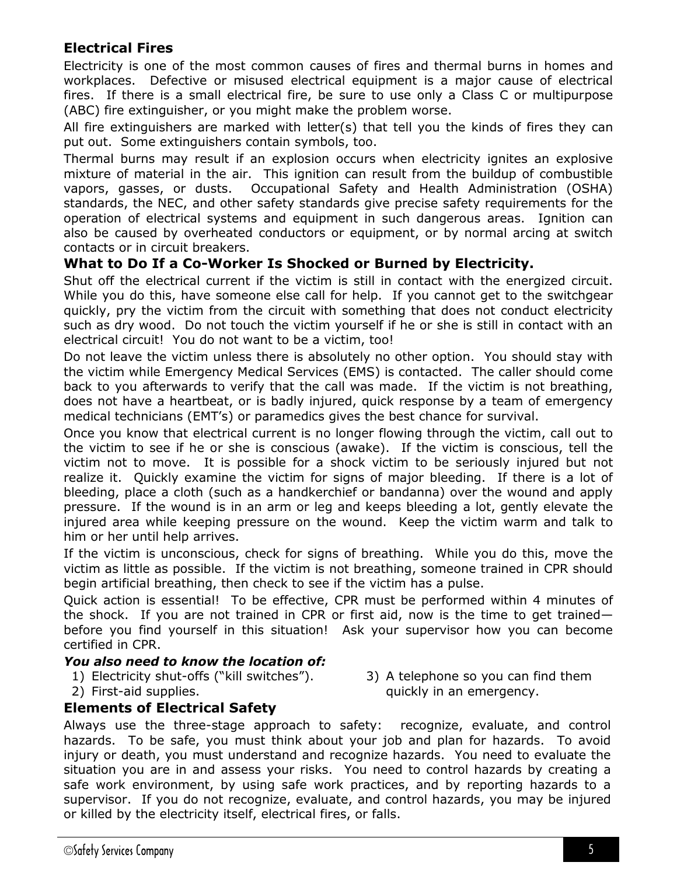# **Electrical Fires**

Electricity is one of the most common causes of fires and thermal burns in homes and workplaces. Defective or misused electrical equipment is a major cause of electrical fires. If there is a small electrical fire, be sure to use only a Class C or multipurpose (ABC) fire extinguisher, or you might make the problem worse.

All fire extinguishers are marked with letter(s) that tell you the kinds of fires they can put out. Some extinguishers contain symbols, too.

Thermal burns may result if an explosion occurs when electricity ignites an explosive mixture of material in the air. This ignition can result from the buildup of combustible vapors, gasses, or dusts. Occupational Safety and Health Administration (OSHA) standards, the NEC, and other safety standards give precise safety requirements for the operation of electrical systems and equipment in such dangerous areas. Ignition can also be caused by overheated conductors or equipment, or by normal arcing at switch contacts or in circuit breakers.

# **What to Do If a Co-Worker Is Shocked or Burned by Electricity.**

Shut off the electrical current if the victim is still in contact with the energized circuit. While you do this, have someone else call for help. If you cannot get to the switchgear quickly, pry the victim from the circuit with something that does not conduct electricity such as dry wood. Do not touch the victim yourself if he or she is still in contact with an electrical circuit! You do not want to be a victim, too!

Do not leave the victim unless there is absolutely no other option. You should stay with the victim while Emergency Medical Services (EMS) is contacted. The caller should come back to you afterwards to verify that the call was made. If the victim is not breathing, does not have a heartbeat, or is badly injured, quick response by a team of emergency medical technicians (EMT's) or paramedics gives the best chance for survival.

Once you know that electrical current is no longer flowing through the victim, call out to the victim to see if he or she is conscious (awake). If the victim is conscious, tell the victim not to move. It is possible for a shock victim to be seriously injured but not realize it. Quickly examine the victim for signs of major bleeding. If there is a lot of bleeding, place a cloth (such as a handkerchief or bandanna) over the wound and apply pressure. If the wound is in an arm or leg and keeps bleeding a lot, gently elevate the injured area while keeping pressure on the wound. Keep the victim warm and talk to him or her until help arrives.

If the victim is unconscious, check for signs of breathing. While you do this, move the victim as little as possible. If the victim is not breathing, someone trained in CPR should begin artificial breathing, then check to see if the victim has a pulse.

Quick action is essential! To be effective, CPR must be performed within 4 minutes of the shock. If you are not trained in CPR or first aid, now is the time to get trained before you find yourself in this situation! Ask your supervisor how you can become certified in CPR.

## *You also need to know the location of:*

- 1) Electricity shut-offs ("kill switches").
- 2) First-aid supplies.

# **Elements of Electrical Safety**

Always use the three-stage approach to safety: recognize, evaluate, and control hazards. To be safe, you must think about your job and plan for hazards. To avoid injury or death, you must understand and recognize hazards. You need to evaluate the situation you are in and assess your risks. You need to control hazards by creating a safe work environment, by using safe work practices, and by reporting hazards to a supervisor. If you do not recognize, evaluate, and control hazards, you may be injured or killed by the electricity itself, electrical fires, or falls.

3) A telephone so you can find them

quickly in an emergency.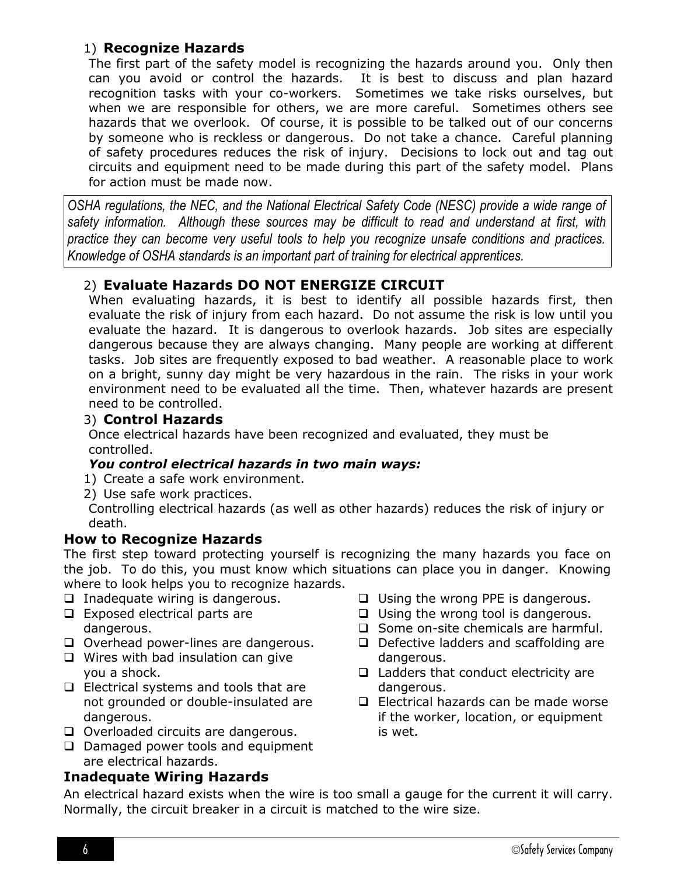## 1) **Recognize Hazards**

The first part of the safety model is recognizing the hazards around you. Only then can you avoid or control the hazards. It is best to discuss and plan hazard recognition tasks with your co-workers. Sometimes we take risks ourselves, but when we are responsible for others, we are more careful. Sometimes others see hazards that we overlook. Of course, it is possible to be talked out of our concerns by someone who is reckless or dangerous. Do not take a chance. Careful planning of safety procedures reduces the risk of injury. Decisions to lock out and tag out circuits and equipment need to be made during this part of the safety model. Plans for action must be made now.

*OSHA regulations, the NEC, and the National Electrical Safety Code (NESC) provide a wide range of safety information. Although these sources may be difficult to read and understand at first, with practice they can become very useful tools to help you recognize unsafe conditions and practices. Knowledge of OSHA standards is an important part of training for electrical apprentices.* 

# 2) **Evaluate Hazards DO NOT ENERGIZE CIRCUIT**

When evaluating hazards, it is best to identify all possible hazards first, then evaluate the risk of injury from each hazard. Do not assume the risk is low until you evaluate the hazard. It is dangerous to overlook hazards. Job sites are especially dangerous because they are always changing. Many people are working at different tasks. Job sites are frequently exposed to bad weather. A reasonable place to work on a bright, sunny day might be very hazardous in the rain. The risks in your work environment need to be evaluated all the time. Then, whatever hazards are present need to be controlled.

#### 3) **Control Hazards**

Once electrical hazards have been recognized and evaluated, they must be controlled.

#### *You control electrical hazards in two main ways:*

- 1) Create a safe work environment.
- 2) Use safe work practices.

Controlling electrical hazards (as well as other hazards) reduces the risk of injury or death.

## **How to Recognize Hazards**

The first step toward protecting yourself is recognizing the many hazards you face on the job. To do this, you must know which situations can place you in danger. Knowing where to look helps you to recognize hazards.

- $\Box$  Inadequate wiring is dangerous.
- $\Box$  Exposed electrical parts are dangerous.
- $\Box$  Overhead power-lines are dangerous.
- $\Box$  Wires with bad insulation can give you a shock.
- $\Box$  Electrical systems and tools that are not grounded or double-insulated are dangerous.
- $\Box$  Overloaded circuits are dangerous.
- $\Box$  Damaged power tools and equipment are electrical hazards.

#### **Inadequate Wiring Hazards**

- $\Box$  Using the wrong PPE is dangerous.
- $\Box$  Using the wrong tool is dangerous.
- $\Box$  Some on-site chemicals are harmful.
- $\Box$  Defective ladders and scaffolding are dangerous.
- $\Box$  Ladders that conduct electricity are dangerous.
- $\Box$  Electrical hazards can be made worse if the worker, location, or equipment is wet.

An electrical hazard exists when the wire is too small a gauge for the current it will carry. Normally, the circuit breaker in a circuit is matched to the wire size.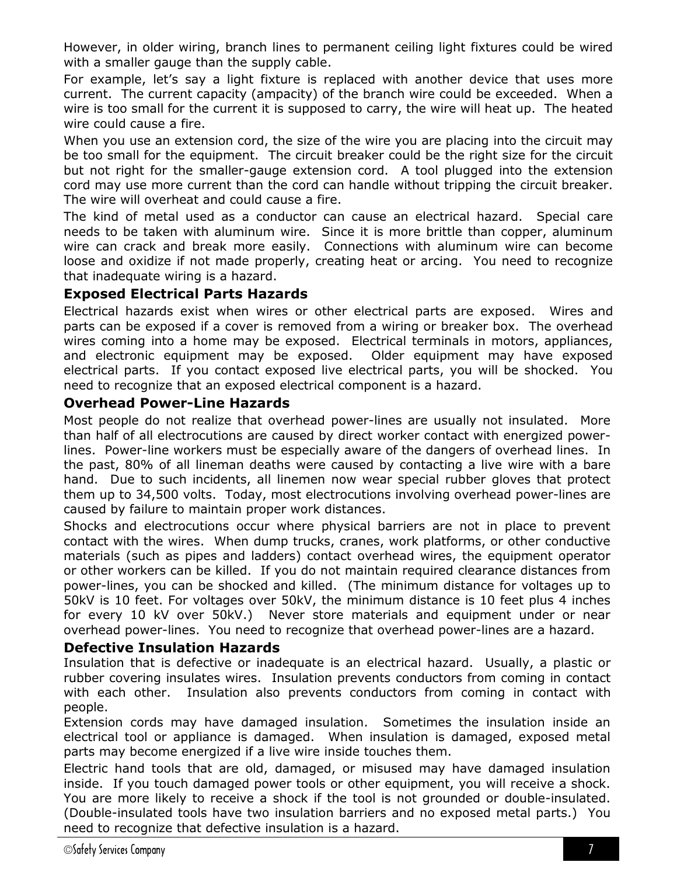However, in older wiring, branch lines to permanent ceiling light fixtures could be wired with a smaller gauge than the supply cable.

For example, let's say a light fixture is replaced with another device that uses more current. The current capacity (ampacity) of the branch wire could be exceeded. When a wire is too small for the current it is supposed to carry, the wire will heat up. The heated wire could cause a fire.

When you use an extension cord, the size of the wire you are placing into the circuit may be too small for the equipment. The circuit breaker could be the right size for the circuit but not right for the smaller-gauge extension cord. A tool plugged into the extension cord may use more current than the cord can handle without tripping the circuit breaker. The wire will overheat and could cause a fire.

The kind of metal used as a conductor can cause an electrical hazard. Special care needs to be taken with aluminum wire. Since it is more brittle than copper, aluminum wire can crack and break more easily. Connections with aluminum wire can become loose and oxidize if not made properly, creating heat or arcing. You need to recognize that inadequate wiring is a hazard.

# **Exposed Electrical Parts Hazards**

Electrical hazards exist when wires or other electrical parts are exposed. Wires and parts can be exposed if a cover is removed from a wiring or breaker box. The overhead wires coming into a home may be exposed. Electrical terminals in motors, appliances, and electronic equipment may be exposed. Older equipment may have exposed electrical parts. If you contact exposed live electrical parts, you will be shocked. You need to recognize that an exposed electrical component is a hazard.

## **Overhead Power-Line Hazards**

Most people do not realize that overhead power-lines are usually not insulated. More than half of all electrocutions are caused by direct worker contact with energized powerlines. Power-line workers must be especially aware of the dangers of overhead lines. In the past, 80% of all lineman deaths were caused by contacting a live wire with a bare hand. Due to such incidents, all linemen now wear special rubber gloves that protect them up to 34,500 volts. Today, most electrocutions involving overhead power-lines are caused by failure to maintain proper work distances.

Shocks and electrocutions occur where physical barriers are not in place to prevent contact with the wires. When dump trucks, cranes, work platforms, or other conductive materials (such as pipes and ladders) contact overhead wires, the equipment operator or other workers can be killed. If you do not maintain required clearance distances from power-lines, you can be shocked and killed. (The minimum distance for voltages up to 50kV is 10 feet. For voltages over 50kV, the minimum distance is 10 feet plus 4 inches for every 10 kV over 50kV.) Never store materials and equipment under or near overhead power-lines. You need to recognize that overhead power-lines are a hazard.

## **Defective Insulation Hazards**

Insulation that is defective or inadequate is an electrical hazard. Usually, a plastic or rubber covering insulates wires. Insulation prevents conductors from coming in contact with each other. Insulation also prevents conductors from coming in contact with people.

Extension cords may have damaged insulation. Sometimes the insulation inside an electrical tool or appliance is damaged. When insulation is damaged, exposed metal parts may become energized if a live wire inside touches them.

Electric hand tools that are old, damaged, or misused may have damaged insulation inside. If you touch damaged power tools or other equipment, you will receive a shock. You are more likely to receive a shock if the tool is not grounded or double-insulated. (Double-insulated tools have two insulation barriers and no exposed metal parts.) You need to recognize that defective insulation is a hazard.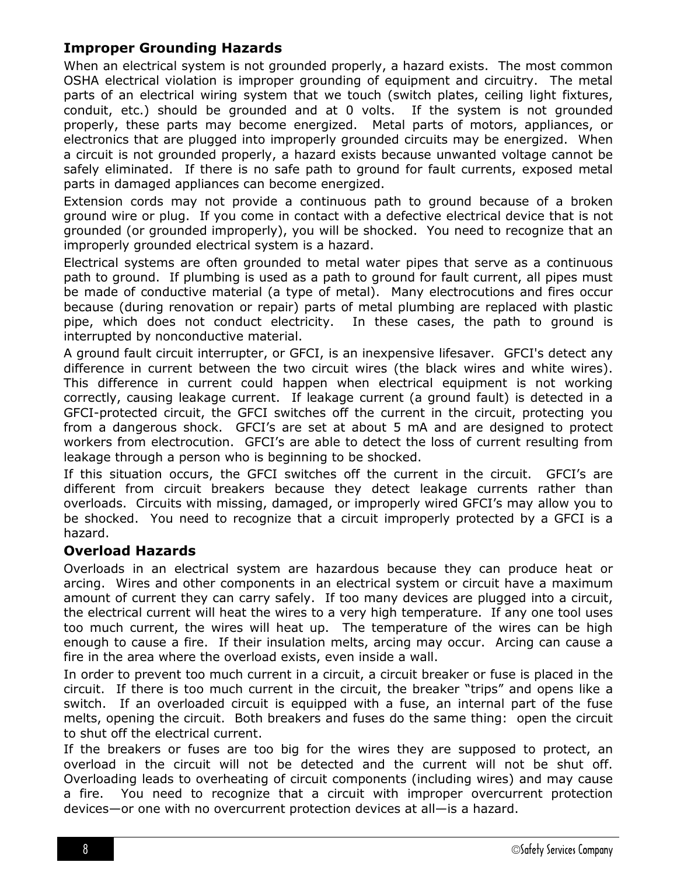# **Improper Grounding Hazards**

When an electrical system is not grounded properly, a hazard exists. The most common OSHA electrical violation is improper grounding of equipment and circuitry. The metal parts of an electrical wiring system that we touch (switch plates, ceiling light fixtures, conduit, etc.) should be grounded and at 0 volts. If the system is not grounded properly, these parts may become energized. Metal parts of motors, appliances, or electronics that are plugged into improperly grounded circuits may be energized. When a circuit is not grounded properly, a hazard exists because unwanted voltage cannot be safely eliminated. If there is no safe path to ground for fault currents, exposed metal parts in damaged appliances can become energized.

Extension cords may not provide a continuous path to ground because of a broken ground wire or plug. If you come in contact with a defective electrical device that is not grounded (or grounded improperly), you will be shocked. You need to recognize that an improperly grounded electrical system is a hazard.

Electrical systems are often grounded to metal water pipes that serve as a continuous path to ground. If plumbing is used as a path to ground for fault current, all pipes must be made of conductive material (a type of metal). Many electrocutions and fires occur because (during renovation or repair) parts of metal plumbing are replaced with plastic pipe, which does not conduct electricity. In these cases, the path to ground is interrupted by nonconductive material.

A ground fault circuit interrupter, or GFCI, is an inexpensive lifesaver. GFCI's detect any difference in current between the two circuit wires (the black wires and white wires). This difference in current could happen when electrical equipment is not working correctly, causing leakage current. If leakage current (a ground fault) is detected in a GFCI-protected circuit, the GFCI switches off the current in the circuit, protecting you from a dangerous shock. GFCI's are set at about 5 mA and are designed to protect workers from electrocution. GFCI's are able to detect the loss of current resulting from leakage through a person who is beginning to be shocked.

If this situation occurs, the GFCI switches off the current in the circuit. GFCI's are different from circuit breakers because they detect leakage currents rather than overloads. Circuits with missing, damaged, or improperly wired GFCI's may allow you to be shocked. You need to recognize that a circuit improperly protected by a GFCI is a hazard.

## **Overload Hazards**

Overloads in an electrical system are hazardous because they can produce heat or arcing. Wires and other components in an electrical system or circuit have a maximum amount of current they can carry safely. If too many devices are plugged into a circuit, the electrical current will heat the wires to a very high temperature. If any one tool uses too much current, the wires will heat up. The temperature of the wires can be high enough to cause a fire. If their insulation melts, arcing may occur. Arcing can cause a fire in the area where the overload exists, even inside a wall.

In order to prevent too much current in a circuit, a circuit breaker or fuse is placed in the circuit. If there is too much current in the circuit, the breaker "trips" and opens like a switch. If an overloaded circuit is equipped with a fuse, an internal part of the fuse melts, opening the circuit. Both breakers and fuses do the same thing: open the circuit to shut off the electrical current.

If the breakers or fuses are too big for the wires they are supposed to protect, an overload in the circuit will not be detected and the current will not be shut off. Overloading leads to overheating of circuit components (including wires) and may cause a fire. You need to recognize that a circuit with improper overcurrent protection devices—or one with no overcurrent protection devices at all—is a hazard.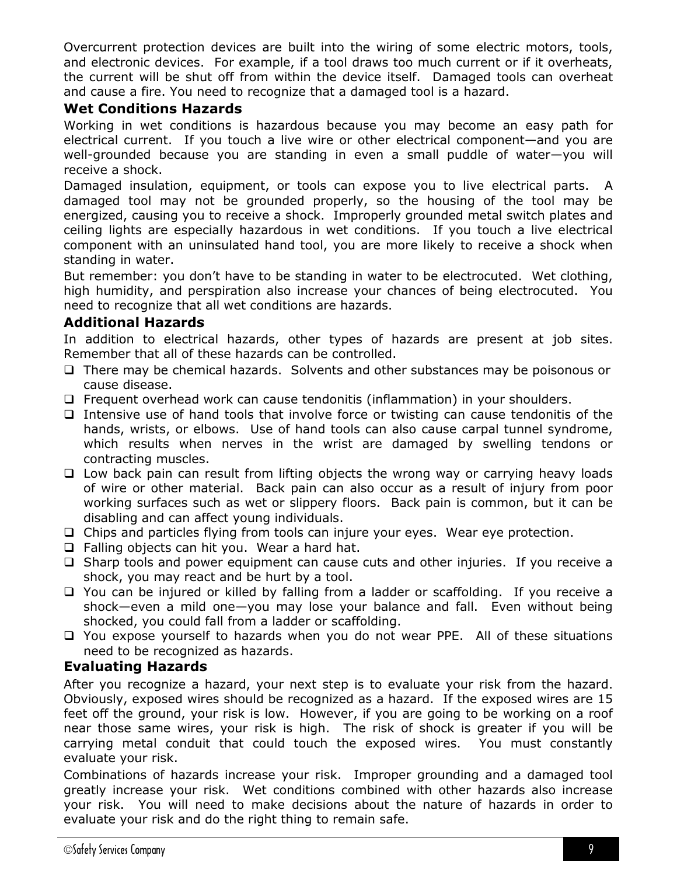Overcurrent protection devices are built into the wiring of some electric motors, tools, and electronic devices. For example, if a tool draws too much current or if it overheats, the current will be shut off from within the device itself. Damaged tools can overheat and cause a fire. You need to recognize that a damaged tool is a hazard.

# **Wet Conditions Hazards**

Working in wet conditions is hazardous because you may become an easy path for electrical current. If you touch a live wire or other electrical component—and you are well-grounded because you are standing in even a small puddle of water—you will receive a shock.

Damaged insulation, equipment, or tools can expose you to live electrical parts. A damaged tool may not be grounded properly, so the housing of the tool may be energized, causing you to receive a shock. Improperly grounded metal switch plates and ceiling lights are especially hazardous in wet conditions. If you touch a live electrical component with an uninsulated hand tool, you are more likely to receive a shock when standing in water.

But remember: you don't have to be standing in water to be electrocuted. Wet clothing, high humidity, and perspiration also increase your chances of being electrocuted. You need to recognize that all wet conditions are hazards.

## **Additional Hazards**

In addition to electrical hazards, other types of hazards are present at job sites. Remember that all of these hazards can be controlled.

- There may be chemical hazards. Solvents and other substances may be poisonous or cause disease.
- Frequent overhead work can cause tendonitis (inflammation) in your shoulders.
- $\Box$  Intensive use of hand tools that involve force or twisting can cause tendonitis of the hands, wrists, or elbows. Use of hand tools can also cause carpal tunnel syndrome, which results when nerves in the wrist are damaged by swelling tendons or contracting muscles.
- $\Box$  Low back pain can result from lifting objects the wrong way or carrying heavy loads of wire or other material. Back pain can also occur as a result of injury from poor working surfaces such as wet or slippery floors. Back pain is common, but it can be disabling and can affect young individuals.
- $\Box$  Chips and particles flying from tools can injure your eyes. Wear eye protection.
- $\Box$  Falling objects can hit you. Wear a hard hat.
- $\Box$  Sharp tools and power equipment can cause cuts and other injuries. If you receive a shock, you may react and be hurt by a tool.
- □ You can be injured or killed by falling from a ladder or scaffolding. If you receive a shock—even a mild one—you may lose your balance and fall. Even without being shocked, you could fall from a ladder or scaffolding.
- You expose yourself to hazards when you do not wear PPE. All of these situations need to be recognized as hazards.

## **Evaluating Hazards**

After you recognize a hazard, your next step is to evaluate your risk from the hazard. Obviously, exposed wires should be recognized as a hazard. If the exposed wires are 15 feet off the ground, your risk is low. However, if you are going to be working on a roof near those same wires, your risk is high. The risk of shock is greater if you will be carrying metal conduit that could touch the exposed wires. You must constantly evaluate your risk.

Combinations of hazards increase your risk. Improper grounding and a damaged tool greatly increase your risk. Wet conditions combined with other hazards also increase your risk. You will need to make decisions about the nature of hazards in order to evaluate your risk and do the right thing to remain safe.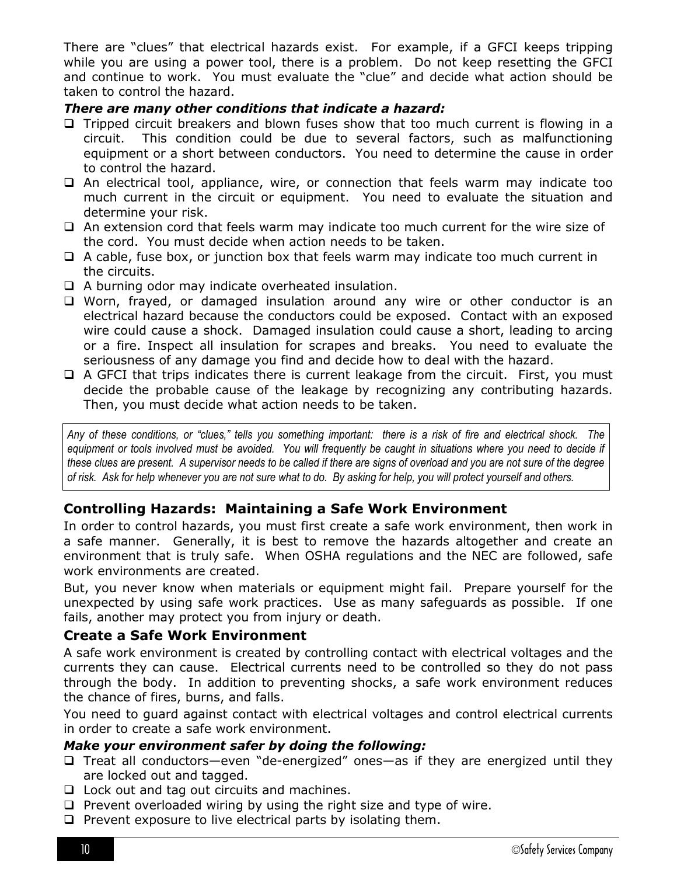There are "clues" that electrical hazards exist. For example, if a GFCI keeps tripping while you are using a power tool, there is a problem. Do not keep resetting the GFCI and continue to work. You must evaluate the "clue" and decide what action should be taken to control the hazard.

#### *There are many other conditions that indicate a hazard:*

- $\Box$  Tripped circuit breakers and blown fuses show that too much current is flowing in a circuit. This condition could be due to several factors, such as malfunctioning equipment or a short between conductors. You need to determine the cause in order to control the hazard.
- $\Box$  An electrical tool, appliance, wire, or connection that feels warm may indicate too much current in the circuit or equipment. You need to evaluate the situation and determine your risk.
- $\Box$  An extension cord that feels warm may indicate too much current for the wire size of the cord. You must decide when action needs to be taken.
- $\Box$  A cable, fuse box, or junction box that feels warm may indicate too much current in the circuits.
- $\Box$  A burning odor may indicate overheated insulation.
- Worn, frayed, or damaged insulation around any wire or other conductor is an electrical hazard because the conductors could be exposed. Contact with an exposed wire could cause a shock. Damaged insulation could cause a short, leading to arcing or a fire. Inspect all insulation for scrapes and breaks. You need to evaluate the seriousness of any damage you find and decide how to deal with the hazard.
- $\Box$  A GFCI that trips indicates there is current leakage from the circuit. First, you must decide the probable cause of the leakage by recognizing any contributing hazards. Then, you must decide what action needs to be taken.

*Any of these conditions, or "clues," tells you something important: there is a risk of fire and electrical shock. The equipment or tools involved must be avoided. You will frequently be caught in situations where you need to decide if these clues are present. A supervisor needs to be called if there are signs of overload and you are not sure of the degree of risk. Ask for help whenever you are not sure what to do. By asking for help, you will protect yourself and others.*

## **Controlling Hazards: Maintaining a Safe Work Environment**

In order to control hazards, you must first create a safe work environment, then work in a safe manner. Generally, it is best to remove the hazards altogether and create an environment that is truly safe. When OSHA regulations and the NEC are followed, safe work environments are created.

But, you never know when materials or equipment might fail. Prepare yourself for the unexpected by using safe work practices. Use as many safeguards as possible. If one fails, another may protect you from injury or death.

#### **Create a Safe Work Environment**

A safe work environment is created by controlling contact with electrical voltages and the currents they can cause. Electrical currents need to be controlled so they do not pass through the body. In addition to preventing shocks, a safe work environment reduces the chance of fires, burns, and falls.

You need to guard against contact with electrical voltages and control electrical currents in order to create a safe work environment.

#### *Make your environment safer by doing the following:*

- $\Box$  Treat all conductors—even "de-energized" ones—as if they are energized until they are locked out and tagged.
- $\Box$  Lock out and tag out circuits and machines.
- $\Box$  Prevent overloaded wiring by using the right size and type of wire.
- $\Box$  Prevent exposure to live electrical parts by isolating them.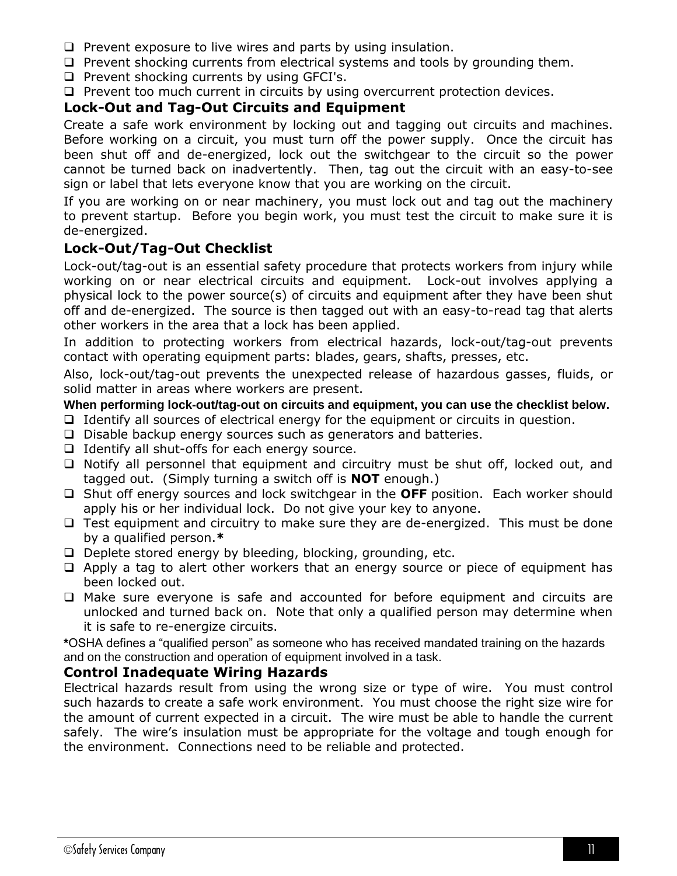- $\Box$  Prevent exposure to live wires and parts by using insulation.
- $\Box$  Prevent shocking currents from electrical systems and tools by grounding them.
- $\Box$  Prevent shocking currents by using GFCI's.
- $\Box$  Prevent too much current in circuits by using overcurrent protection devices.

# **Lock-Out and Tag-Out Circuits and Equipment**

Create a safe work environment by locking out and tagging out circuits and machines. Before working on a circuit, you must turn off the power supply. Once the circuit has been shut off and de-energized, lock out the switchgear to the circuit so the power cannot be turned back on inadvertently. Then, tag out the circuit with an easy-to-see sign or label that lets everyone know that you are working on the circuit.

If you are working on or near machinery, you must lock out and tag out the machinery to prevent startup. Before you begin work, you must test the circuit to make sure it is de-energized.

# **Lock-Out/Tag-Out Checklist**

Lock-out/tag-out is an essential safety procedure that protects workers from injury while working on or near electrical circuits and equipment. Lock-out involves applying a physical lock to the power source(s) of circuits and equipment after they have been shut off and de-energized. The source is then tagged out with an easy-to-read tag that alerts other workers in the area that a lock has been applied.

In addition to protecting workers from electrical hazards, lock-out/tag-out prevents contact with operating equipment parts: blades, gears, shafts, presses, etc.

Also, lock-out/tag-out prevents the unexpected release of hazardous gasses, fluids, or solid matter in areas where workers are present.

#### **When performing lock-out/tag-out on circuits and equipment, you can use the checklist below.**

- $\Box$  Identify all sources of electrical energy for the equipment or circuits in question.
- $\Box$  Disable backup energy sources such as generators and batteries.
- $\Box$  Identify all shut-offs for each energy source.
- $\Box$  Notify all personnel that equipment and circuitry must be shut off, locked out, and tagged out. (Simply turning a switch off is **NOT** enough.)
- Shut off energy sources and lock switchgear in the **OFF** position. Each worker should apply his or her individual lock. Do not give your key to anyone.
- $\Box$  Test equipment and circuitry to make sure they are de-energized. This must be done by a qualified person.**\***
- $\Box$  Deplete stored energy by bleeding, blocking, grounding, etc.
- $\Box$  Apply a tag to alert other workers that an energy source or piece of equipment has been locked out.
- Make sure everyone is safe and accounted for before equipment and circuits are unlocked and turned back on. Note that only a qualified person may determine when it is safe to re-energize circuits.

**\***OSHA defines a "qualified person" as someone who has received mandated training on the hazards and on the construction and operation of equipment involved in a task.

## **Control Inadequate Wiring Hazards**

Electrical hazards result from using the wrong size or type of wire. You must control such hazards to create a safe work environment. You must choose the right size wire for the amount of current expected in a circuit. The wire must be able to handle the current safely. The wire's insulation must be appropriate for the voltage and tough enough for the environment. Connections need to be reliable and protected.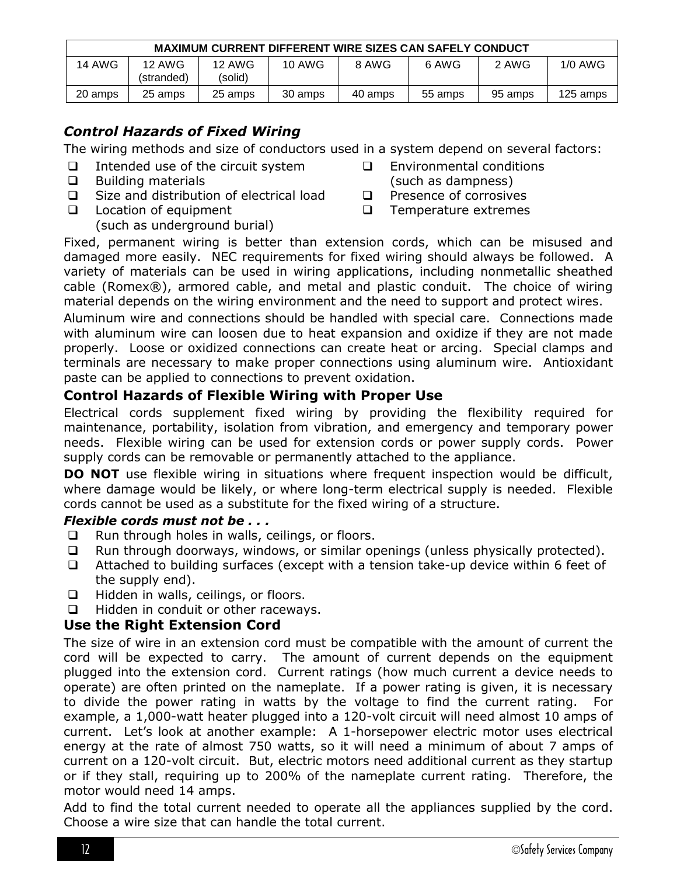| <b>MAXIMUM CURRENT DIFFERENT WIRE SIZES CAN SAFELY CONDUCT</b> |                      |                          |         |         |         |         |           |  |  |
|----------------------------------------------------------------|----------------------|--------------------------|---------|---------|---------|---------|-----------|--|--|
| 14 AWG                                                         | 12 AWG<br>(stranded) | <b>12 AWG</b><br>(solid) | 10 AWG  | 8 AWG   | 6 AWG   | 2 AWG   | $1/0$ AWG |  |  |
| 20 amps                                                        | 25 amps              | 25 amps                  | 30 amps | 40 amps | 55 amps | 95 amps | 125 amps  |  |  |

# *Control Hazards of Fixed Wiring*

The wiring methods and size of conductors used in a system depend on several factors:

- $\Box$  Intended use of the circuit system
- **D** Building materials
- $\Box$  Size and distribution of electrical load
- □ Location of equipment
	- (such as underground burial)
- **Environmental conditions** (such as dampness)
- $\Box$  Presence of corrosives
- $\Box$  Temperature extremes

Fixed, permanent wiring is better than extension cords, which can be misused and damaged more easily. NEC requirements for fixed wiring should always be followed. A variety of materials can be used in wiring applications, including nonmetallic sheathed cable (Romex®), armored cable, and metal and plastic conduit. The choice of wiring material depends on the wiring environment and the need to support and protect wires.

Aluminum wire and connections should be handled with special care. Connections made with aluminum wire can loosen due to heat expansion and oxidize if they are not made properly. Loose or oxidized connections can create heat or arcing. Special clamps and terminals are necessary to make proper connections using aluminum wire. Antioxidant paste can be applied to connections to prevent oxidation.

## **Control Hazards of Flexible Wiring with Proper Use**

Electrical cords supplement fixed wiring by providing the flexibility required for maintenance, portability, isolation from vibration, and emergency and temporary power needs. Flexible wiring can be used for extension cords or power supply cords. Power supply cords can be removable or permanently attached to the appliance.

**DO NOT** use flexible wiring in situations where frequent inspection would be difficult, where damage would be likely, or where long-term electrical supply is needed. Flexible cords cannot be used as a substitute for the fixed wiring of a structure.

## *Flexible cords must not be . . .*

- $\Box$  Run through holes in walls, ceilings, or floors.
- $\Box$  Run through doorways, windows, or similar openings (unless physically protected).
- Attached to building surfaces (except with a tension take-up device within 6 feet of the supply end).
- **Hidden in walls, ceilings, or floors.**
- $\Box$  Hidden in conduit or other raceways.

# **Use the Right Extension Cord**

The size of wire in an extension cord must be compatible with the amount of current the cord will be expected to carry. The amount of current depends on the equipment plugged into the extension cord. Current ratings (how much current a device needs to operate) are often printed on the nameplate. If a power rating is given, it is necessary to divide the power rating in watts by the voltage to find the current rating. For example, a 1,000-watt heater plugged into a 120-volt circuit will need almost 10 amps of current. Let's look at another example: A 1-horsepower electric motor uses electrical energy at the rate of almost 750 watts, so it will need a minimum of about 7 amps of current on a 120-volt circuit. But, electric motors need additional current as they startup or if they stall, requiring up to 200% of the nameplate current rating. Therefore, the motor would need 14 amps.

Add to find the total current needed to operate all the appliances supplied by the cord. Choose a wire size that can handle the total current.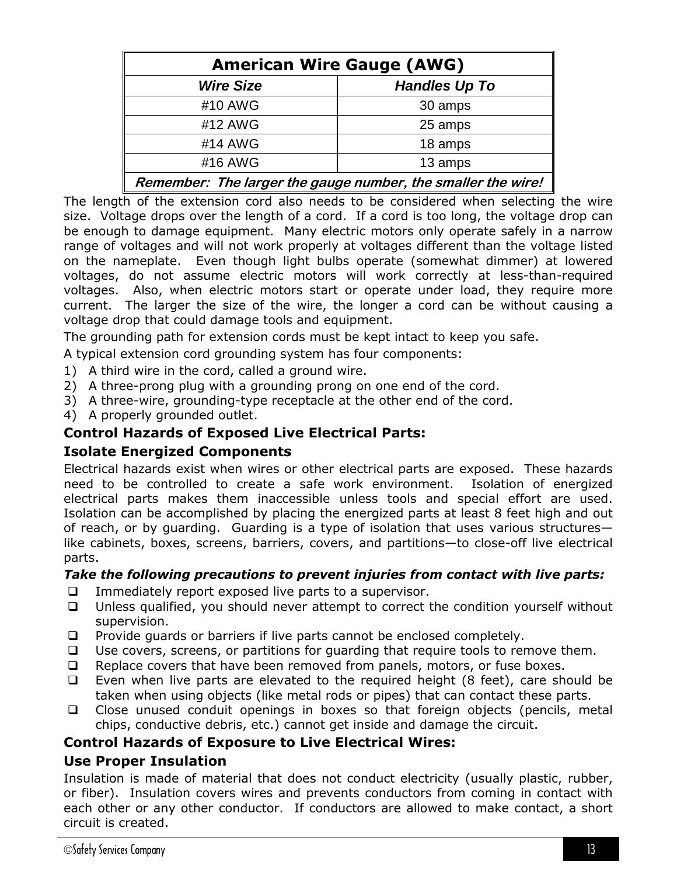| <b>American Wire Gauge (AWG)</b>                             |                      |  |  |  |  |
|--------------------------------------------------------------|----------------------|--|--|--|--|
| <b>Wire Size</b>                                             | <b>Handles Up To</b> |  |  |  |  |
| #10 AWG                                                      | 30 amps              |  |  |  |  |
| #12 AWG                                                      | 25 amps              |  |  |  |  |
| #14 AWG                                                      | 18 amps              |  |  |  |  |
| #16 AWG                                                      | 13 amps              |  |  |  |  |
| Ramamhar: Tha Iargar tha gauga numhar, tha smallar tha wiral |                      |  |  |  |  |

**Remember: The larger the gauge number, the smaller the wire!**

The length of the extension cord also needs to be considered when selecting the wire size. Voltage drops over the length of a cord. If a cord is too long, the voltage drop can be enough to damage equipment. Many electric motors only operate safely in a narrow range of voltages and will not work properly at voltages different than the voltage listed on the nameplate. Even though light bulbs operate (somewhat dimmer) at lowered voltages, do not assume electric motors will work correctly at less-than-required voltages. Also, when electric motors start or operate under load, they require more current. The larger the size of the wire, the longer a cord can be without causing a voltage drop that could damage tools and equipment.

The grounding path for extension cords must be kept intact to keep you safe.

A typical extension cord grounding system has four components:

- 1) A third wire in the cord, called a ground wire.
- 2) A three-prong plug with a grounding prong on one end of the cord.
- 3) A three-wire, grounding-type receptacle at the other end of the cord.
- 4) A properly grounded outlet.

# **Control Hazards of Exposed Live Electrical Parts:**

# **Isolate Energized Components**

Electrical hazards exist when wires or other electrical parts are exposed. These hazards need to be controlled to create a safe work environment. Isolation of energized electrical parts makes them inaccessible unless tools and special effort are used. Isolation can be accomplished by placing the energized parts at least 8 feet high and out of reach, or by guarding. Guarding is a type of isolation that uses various structures like cabinets, boxes, screens, barriers, covers, and partitions—to close-off live electrical parts.

## *Take the following precautions to prevent injuries from contact with live parts:*

- $\Box$  Immediately report exposed live parts to a supervisor.
- $\Box$  Unless qualified, you should never attempt to correct the condition yourself without supervision.
- $\Box$  Provide guards or barriers if live parts cannot be enclosed completely.
- $\Box$  Use covers, screens, or partitions for guarding that require tools to remove them.
- $\Box$  Replace covers that have been removed from panels, motors, or fuse boxes.
- **E** Even when live parts are elevated to the required height (8 feet), care should be taken when using objects (like metal rods or pipes) that can contact these parts.
- $\Box$  Close unused conduit openings in boxes so that foreign objects (pencils, metal chips, conductive debris, etc.) cannot get inside and damage the circuit.

# **Control Hazards of Exposure to Live Electrical Wires:**

# **Use Proper Insulation**

Insulation is made of material that does not conduct electricity (usually plastic, rubber, or fiber). Insulation covers wires and prevents conductors from coming in contact with each other or any other conductor. If conductors are allowed to make contact, a short circuit is created.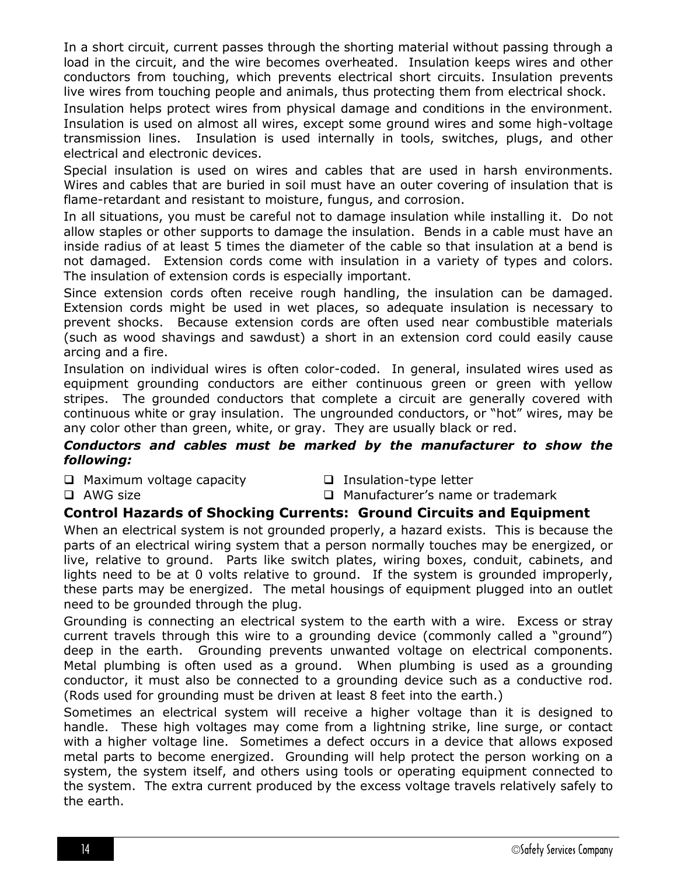In a short circuit, current passes through the shorting material without passing through a load in the circuit, and the wire becomes overheated. Insulation keeps wires and other conductors from touching, which prevents electrical short circuits. Insulation prevents live wires from touching people and animals, thus protecting them from electrical shock.

Insulation helps protect wires from physical damage and conditions in the environment. Insulation is used on almost all wires, except some ground wires and some high-voltage transmission lines. Insulation is used internally in tools, switches, plugs, and other electrical and electronic devices.

Special insulation is used on wires and cables that are used in harsh environments. Wires and cables that are buried in soil must have an outer covering of insulation that is flame-retardant and resistant to moisture, fungus, and corrosion.

In all situations, you must be careful not to damage insulation while installing it. Do not allow staples or other supports to damage the insulation. Bends in a cable must have an inside radius of at least 5 times the diameter of the cable so that insulation at a bend is not damaged. Extension cords come with insulation in a variety of types and colors. The insulation of extension cords is especially important.

Since extension cords often receive rough handling, the insulation can be damaged. Extension cords might be used in wet places, so adequate insulation is necessary to prevent shocks. Because extension cords are often used near combustible materials (such as wood shavings and sawdust) a short in an extension cord could easily cause arcing and a fire.

Insulation on individual wires is often color-coded. In general, insulated wires used as equipment grounding conductors are either continuous green or green with yellow stripes. The grounded conductors that complete a circuit are generally covered with continuous white or gray insulation. The ungrounded conductors, or "hot" wires, may be any color other than green, white, or gray. They are usually black or red.

#### *Conductors and cables must be marked by the manufacturer to show the following:*

 $\Box$  Maximum voltage capacity

□ Insulation-type letter

**D** AWG size

□ Manufacturer's name or trademark

# **Control Hazards of Shocking Currents: Ground Circuits and Equipment**

When an electrical system is not grounded properly, a hazard exists. This is because the parts of an electrical wiring system that a person normally touches may be energized, or live, relative to ground. Parts like switch plates, wiring boxes, conduit, cabinets, and lights need to be at 0 volts relative to ground. If the system is grounded improperly, these parts may be energized. The metal housings of equipment plugged into an outlet need to be grounded through the plug.

Grounding is connecting an electrical system to the earth with a wire. Excess or stray current travels through this wire to a grounding device (commonly called a "ground") deep in the earth. Grounding prevents unwanted voltage on electrical components. Metal plumbing is often used as a ground. When plumbing is used as a grounding conductor, it must also be connected to a grounding device such as a conductive rod. (Rods used for grounding must be driven at least 8 feet into the earth.)

Sometimes an electrical system will receive a higher voltage than it is designed to handle. These high voltages may come from a lightning strike, line surge, or contact with a higher voltage line. Sometimes a defect occurs in a device that allows exposed metal parts to become energized. Grounding will help protect the person working on a system, the system itself, and others using tools or operating equipment connected to the system. The extra current produced by the excess voltage travels relatively safely to the earth.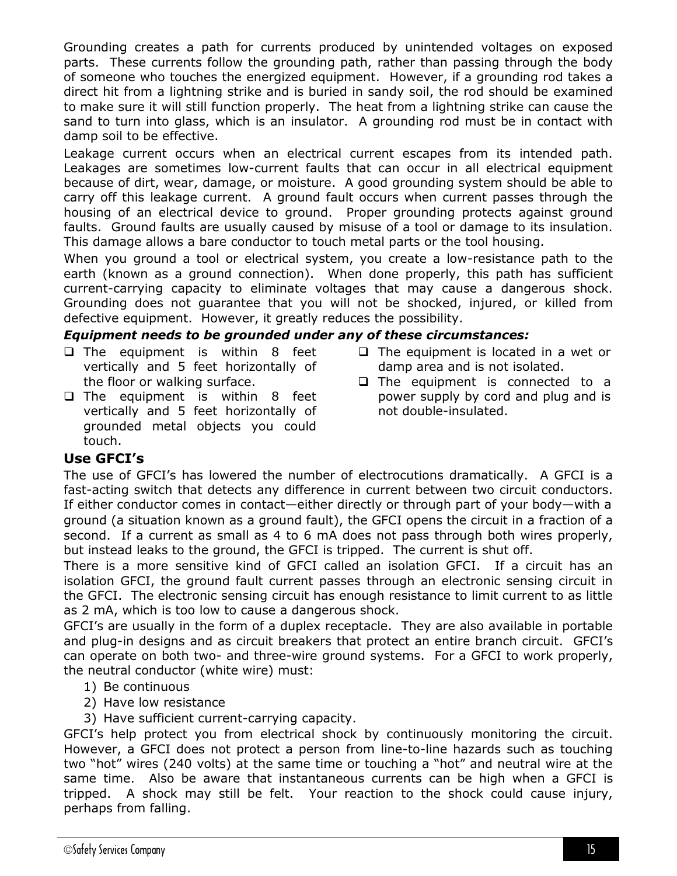Grounding creates a path for currents produced by unintended voltages on exposed parts. These currents follow the grounding path, rather than passing through the body of someone who touches the energized equipment. However, if a grounding rod takes a direct hit from a lightning strike and is buried in sandy soil, the rod should be examined to make sure it will still function properly. The heat from a lightning strike can cause the sand to turn into glass, which is an insulator. A grounding rod must be in contact with damp soil to be effective.

Leakage current occurs when an electrical current escapes from its intended path. Leakages are sometimes low-current faults that can occur in all electrical equipment because of dirt, wear, damage, or moisture. A good grounding system should be able to carry off this leakage current. A ground fault occurs when current passes through the housing of an electrical device to ground. Proper grounding protects against ground faults. Ground faults are usually caused by misuse of a tool or damage to its insulation. This damage allows a bare conductor to touch metal parts or the tool housing.

When you ground a tool or electrical system, you create a low-resistance path to the earth (known as a ground connection). When done properly, this path has sufficient current-carrying capacity to eliminate voltages that may cause a dangerous shock. Grounding does not guarantee that you will not be shocked, injured, or killed from defective equipment. However, it greatly reduces the possibility.

## *Equipment needs to be grounded under any of these circumstances:*

- $\Box$  The equipment is within 8 feet vertically and 5 feet horizontally of the floor or walking surface.
- $\Box$  The equipment is within 8 feet vertically and 5 feet horizontally of grounded metal objects you could touch.
- $\Box$  The equipment is located in a wet or damp area and is not isolated.
- $\Box$  The equipment is connected to a power supply by cord and plug and is not double-insulated.

# **Use GFCI's**

The use of GFCI's has lowered the number of electrocutions dramatically. A GFCI is a fast-acting switch that detects any difference in current between two circuit conductors. If either conductor comes in contact—either directly or through part of your body—with a ground (a situation known as a ground fault), the GFCI opens the circuit in a fraction of a second. If a current as small as 4 to 6 mA does not pass through both wires properly, but instead leaks to the ground, the GFCI is tripped. The current is shut off.

There is a more sensitive kind of GFCI called an isolation GFCI. If a circuit has an isolation GFCI, the ground fault current passes through an electronic sensing circuit in the GFCI. The electronic sensing circuit has enough resistance to limit current to as little as 2 mA, which is too low to cause a dangerous shock.

GFCI's are usually in the form of a duplex receptacle. They are also available in portable and plug-in designs and as circuit breakers that protect an entire branch circuit. GFCI's can operate on both two- and three-wire ground systems. For a GFCI to work properly, the neutral conductor (white wire) must:

- 1) Be continuous
- 2) Have low resistance
- 3) Have sufficient current-carrying capacity.

GFCI's help protect you from electrical shock by continuously monitoring the circuit. However, a GFCI does not protect a person from line-to-line hazards such as touching two "hot" wires (240 volts) at the same time or touching a "hot" and neutral wire at the same time. Also be aware that instantaneous currents can be high when a GFCI is tripped. A shock may still be felt. Your reaction to the shock could cause injury, perhaps from falling.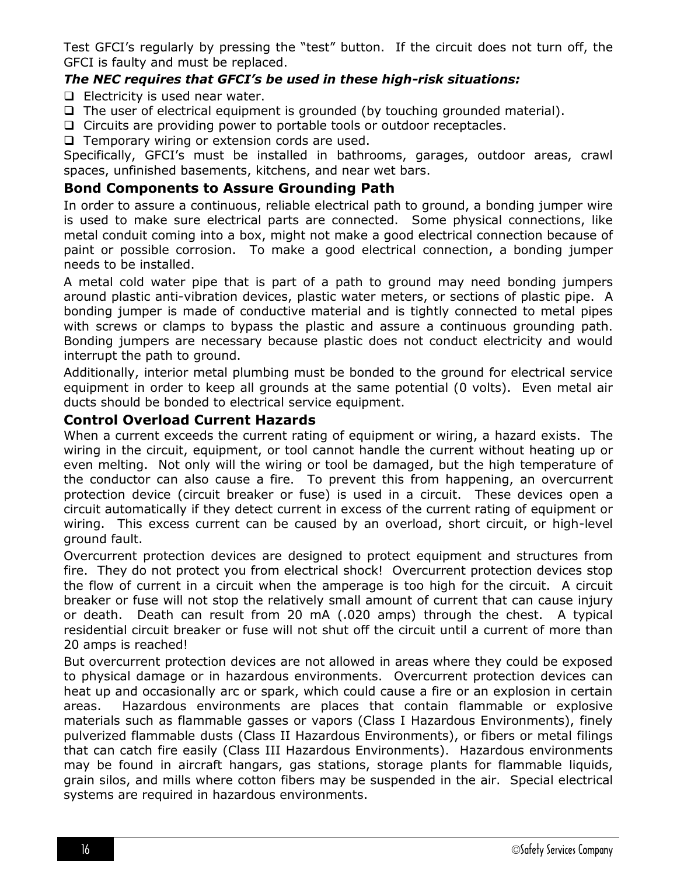Test GFCI's regularly by pressing the "test" button. If the circuit does not turn off, the GFCI is faulty and must be replaced.

#### *The NEC requires that GFCI's be used in these high-risk situations:*

 $\Box$  Electricity is used near water.

- $\Box$  The user of electrical equipment is grounded (by touching grounded material).
- $\Box$  Circuits are providing power to portable tools or outdoor receptacles.
- $\Box$  Temporary wiring or extension cords are used.

Specifically, GFCI's must be installed in bathrooms, garages, outdoor areas, crawl spaces, unfinished basements, kitchens, and near wet bars.

#### **Bond Components to Assure Grounding Path**

In order to assure a continuous, reliable electrical path to ground, a bonding jumper wire is used to make sure electrical parts are connected. Some physical connections, like metal conduit coming into a box, might not make a good electrical connection because of paint or possible corrosion. To make a good electrical connection, a bonding jumper needs to be installed.

A metal cold water pipe that is part of a path to ground may need bonding jumpers around plastic anti-vibration devices, plastic water meters, or sections of plastic pipe. A bonding jumper is made of conductive material and is tightly connected to metal pipes with screws or clamps to bypass the plastic and assure a continuous grounding path. Bonding jumpers are necessary because plastic does not conduct electricity and would interrupt the path to ground.

Additionally, interior metal plumbing must be bonded to the ground for electrical service equipment in order to keep all grounds at the same potential (0 volts). Even metal air ducts should be bonded to electrical service equipment.

#### **Control Overload Current Hazards**

When a current exceeds the current rating of equipment or wiring, a hazard exists. The wiring in the circuit, equipment, or tool cannot handle the current without heating up or even melting. Not only will the wiring or tool be damaged, but the high temperature of the conductor can also cause a fire. To prevent this from happening, an overcurrent protection device (circuit breaker or fuse) is used in a circuit. These devices open a circuit automatically if they detect current in excess of the current rating of equipment or wiring. This excess current can be caused by an overload, short circuit, or high-level ground fault.

Overcurrent protection devices are designed to protect equipment and structures from fire. They do not protect you from electrical shock! Overcurrent protection devices stop the flow of current in a circuit when the amperage is too high for the circuit. A circuit breaker or fuse will not stop the relatively small amount of current that can cause injury or death. Death can result from 20 mA (.020 amps) through the chest. A typical residential circuit breaker or fuse will not shut off the circuit until a current of more than 20 amps is reached!

But overcurrent protection devices are not allowed in areas where they could be exposed to physical damage or in hazardous environments. Overcurrent protection devices can heat up and occasionally arc or spark, which could cause a fire or an explosion in certain areas. Hazardous environments are places that contain flammable or explosive materials such as flammable gasses or vapors (Class I Hazardous Environments), finely pulverized flammable dusts (Class II Hazardous Environments), or fibers or metal filings that can catch fire easily (Class III Hazardous Environments). Hazardous environments may be found in aircraft hangars, gas stations, storage plants for flammable liquids, grain silos, and mills where cotton fibers may be suspended in the air. Special electrical systems are required in hazardous environments.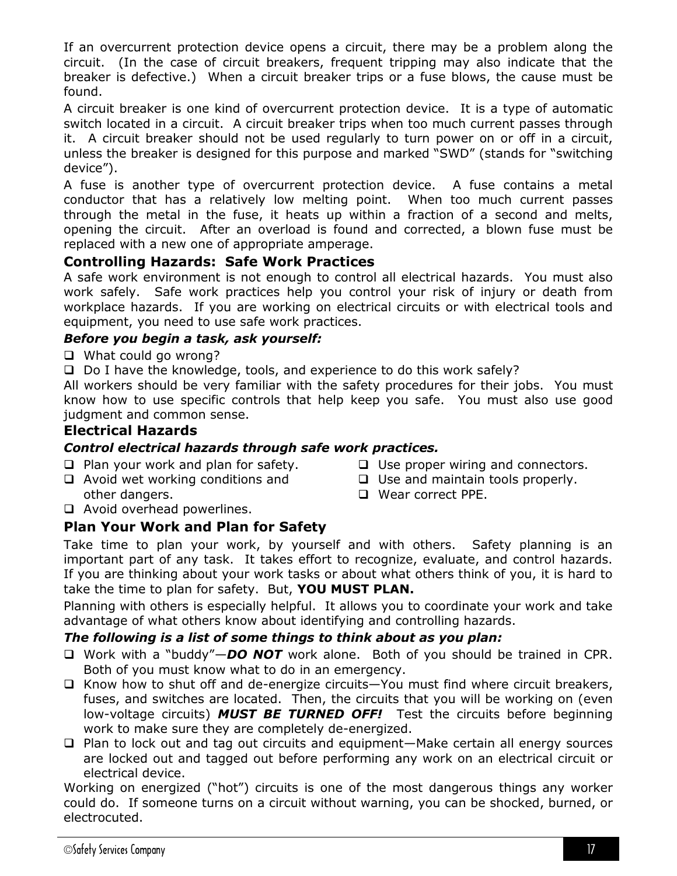If an overcurrent protection device opens a circuit, there may be a problem along the circuit. (In the case of circuit breakers, frequent tripping may also indicate that the breaker is defective.) When a circuit breaker trips or a fuse blows, the cause must be found.

A circuit breaker is one kind of overcurrent protection device. It is a type of automatic switch located in a circuit. A circuit breaker trips when too much current passes through it. A circuit breaker should not be used regularly to turn power on or off in a circuit, unless the breaker is designed for this purpose and marked "SWD" (stands for "switching device").

A fuse is another type of overcurrent protection device. A fuse contains a metal conductor that has a relatively low melting point. When too much current passes through the metal in the fuse, it heats up within a fraction of a second and melts, opening the circuit. After an overload is found and corrected, a blown fuse must be replaced with a new one of appropriate amperage.

## **Controlling Hazards: Safe Work Practices**

A safe work environment is not enough to control all electrical hazards. You must also work safely. Safe work practices help you control your risk of injury or death from workplace hazards. If you are working on electrical circuits or with electrical tools and equipment, you need to use safe work practices.

#### *Before you begin a task, ask yourself:*

□ What could go wrong?

 $\Box$  Do I have the knowledge, tools, and experience to do this work safely?

All workers should be very familiar with the safety procedures for their jobs. You must know how to use specific controls that help keep you safe. You must also use good judgment and common sense.

## **Electrical Hazards**

## *Control electrical hazards through safe work practices.*

- $\Box$  Plan your work and plan for safety.
- □ Avoid wet working conditions and other dangers.
- $\Box$  Use proper wiring and connectors.
- $\Box$  Use and maintain tools properly.
- □ Wear correct PPE.

**Q** Avoid overhead powerlines.

# **Plan Your Work and Plan for Safety**

Take time to plan your work, by yourself and with others. Safety planning is an important part of any task. It takes effort to recognize, evaluate, and control hazards. If you are thinking about your work tasks or about what others think of you, it is hard to take the time to plan for safety. But, **YOU MUST PLAN.**

Planning with others is especially helpful. It allows you to coordinate your work and take advantage of what others know about identifying and controlling hazards.

## *The following is a list of some things to think about as you plan:*

- Work with a "buddy"—*DO NOT* work alone. Both of you should be trained in CPR. Both of you must know what to do in an emergency.
- $\Box$  Know how to shut off and de-energize circuits—You must find where circuit breakers, fuses, and switches are located. Then, the circuits that you will be working on (even low-voltage circuits) *MUST BE TURNED OFF!* Test the circuits before beginning work to make sure they are completely de-energized.
- $\Box$  Plan to lock out and tag out circuits and equipment—Make certain all energy sources are locked out and tagged out before performing any work on an electrical circuit or electrical device.

Working on energized ("hot") circuits is one of the most dangerous things any worker could do. If someone turns on a circuit without warning, you can be shocked, burned, or electrocuted.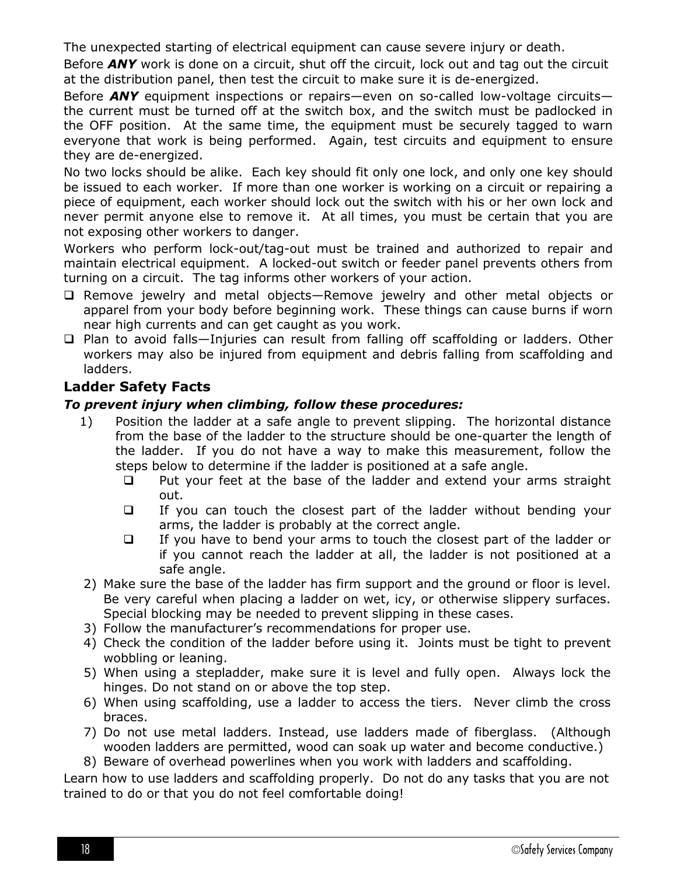The unexpected starting of electrical equipment can cause severe injury or death.

Before *ANY* work is done on a circuit, shut off the circuit, lock out and tag out the circuit at the distribution panel, then test the circuit to make sure it is de-energized.

Before *ANY* equipment inspections or repairs—even on so-called low-voltage circuits the current must be turned off at the switch box, and the switch must be padlocked in the OFF position. At the same time, the equipment must be securely tagged to warn everyone that work is being performed. Again, test circuits and equipment to ensure they are de-energized.

No two locks should be alike. Each key should fit only one lock, and only one key should be issued to each worker. If more than one worker is working on a circuit or repairing a piece of equipment, each worker should lock out the switch with his or her own lock and never permit anyone else to remove it. At all times, you must be certain that you are not exposing other workers to danger.

Workers who perform lock-out/tag-out must be trained and authorized to repair and maintain electrical equipment. A locked-out switch or feeder panel prevents others from turning on a circuit. The tag informs other workers of your action.

- Remove jewelry and metal objects—Remove jewelry and other metal objects or apparel from your body before beginning work. These things can cause burns if worn near high currents and can get caught as you work.
- $\Box$  Plan to avoid falls—Injuries can result from falling off scaffolding or ladders. Other workers may also be injured from equipment and debris falling from scaffolding and ladders.

# **Ladder Safety Facts**

## *To prevent injury when climbing, follow these procedures:*

- 1) Position the ladder at a safe angle to prevent slipping. The horizontal distance from the base of the ladder to the structure should be one-quarter the length of the ladder. If you do not have a way to make this measurement, follow the steps below to determine if the ladder is positioned at a safe angle.
	- $\Box$  Put your feet at the base of the ladder and extend your arms straight out.
	- $\Box$  If you can touch the closest part of the ladder without bending your arms, the ladder is probably at the correct angle.
	- $\Box$  If you have to bend your arms to touch the closest part of the ladder or if you cannot reach the ladder at all, the ladder is not positioned at a safe angle.
- 2) Make sure the base of the ladder has firm support and the ground or floor is level. Be very careful when placing a ladder on wet, icy, or otherwise slippery surfaces. Special blocking may be needed to prevent slipping in these cases.
- 3) Follow the manufacturer's recommendations for proper use.
- 4) Check the condition of the ladder before using it. Joints must be tight to prevent wobbling or leaning.
- 5) When using a stepladder, make sure it is level and fully open. Always lock the hinges. Do not stand on or above the top step.
- 6) When using scaffolding, use a ladder to access the tiers. Never climb the cross braces.
- 7) Do not use metal ladders. Instead, use ladders made of fiberglass. (Although wooden ladders are permitted, wood can soak up water and become conductive.)
- 8) Beware of overhead powerlines when you work with ladders and scaffolding.

Learn how to use ladders and scaffolding properly. Do not do any tasks that you are not trained to do or that you do not feel comfortable doing!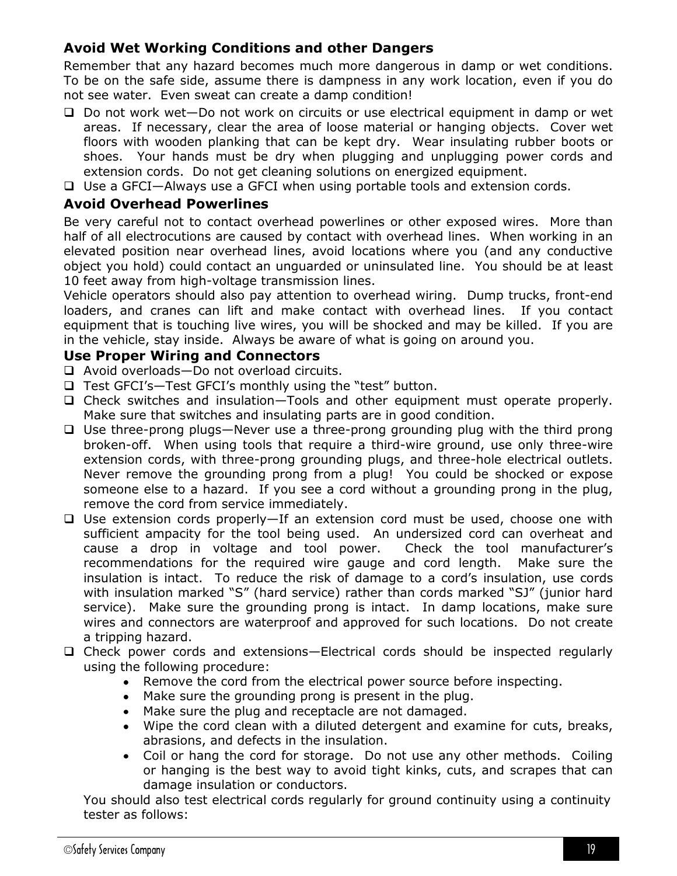# **Avoid Wet Working Conditions and other Dangers**

Remember that any hazard becomes much more dangerous in damp or wet conditions. To be on the safe side, assume there is dampness in any work location, even if you do not see water. Even sweat can create a damp condition!

- Do not work wet—Do not work on circuits or use electrical equipment in damp or wet areas. If necessary, clear the area of loose material or hanging objects. Cover wet floors with wooden planking that can be kept dry. Wear insulating rubber boots or shoes. Your hands must be dry when plugging and unplugging power cords and extension cords. Do not get cleaning solutions on energized equipment.
- □ Use a GFCI—Always use a GFCI when using portable tools and extension cords.

## **Avoid Overhead Powerlines**

Be very careful not to contact overhead powerlines or other exposed wires. More than half of all electrocutions are caused by contact with overhead lines. When working in an elevated position near overhead lines, avoid locations where you (and any conductive object you hold) could contact an unguarded or uninsulated line. You should be at least 10 feet away from high-voltage transmission lines.

Vehicle operators should also pay attention to overhead wiring. Dump trucks, front-end loaders, and cranes can lift and make contact with overhead lines. If you contact equipment that is touching live wires, you will be shocked and may be killed. If you are in the vehicle, stay inside. Always be aware of what is going on around you.

## **Use Proper Wiring and Connectors**

- □ Avoid overloads-Do not overload circuits.
- Test GFCI's—Test GFCI's monthly using the "test" button.
- $\Box$  Check switches and insulation—Tools and other equipment must operate properly. Make sure that switches and insulating parts are in good condition.
- $\Box$  Use three-prong plugs—Never use a three-prong grounding plug with the third prong broken-off. When using tools that require a third-wire ground, use only three-wire extension cords, with three-prong grounding plugs, and three-hole electrical outlets. Never remove the grounding prong from a plug! You could be shocked or expose someone else to a hazard. If you see a cord without a grounding prong in the plug, remove the cord from service immediately.
- $\Box$  Use extension cords properly—If an extension cord must be used, choose one with sufficient ampacity for the tool being used. An undersized cord can overheat and cause a drop in voltage and tool power. Check the tool manufacturer's recommendations for the required wire gauge and cord length. Make sure the insulation is intact. To reduce the risk of damage to a cord's insulation, use cords with insulation marked "S" (hard service) rather than cords marked "SJ" (junior hard service). Make sure the grounding prong is intact. In damp locations, make sure wires and connectors are waterproof and approved for such locations. Do not create a tripping hazard.
- Check power cords and extensions—Electrical cords should be inspected regularly using the following procedure:
	- Remove the cord from the electrical power source before inspecting.  $\bullet$
	- $\bullet$ Make sure the grounding prong is present in the plug.
	- Make sure the plug and receptacle are not damaged.
	- Wipe the cord clean with a diluted detergent and examine for cuts, breaks, abrasions, and defects in the insulation.
	- Coil or hang the cord for storage. Do not use any other methods. Coiling or hanging is the best way to avoid tight kinks, cuts, and scrapes that can damage insulation or conductors.

You should also test electrical cords regularly for ground continuity using a continuity tester as follows: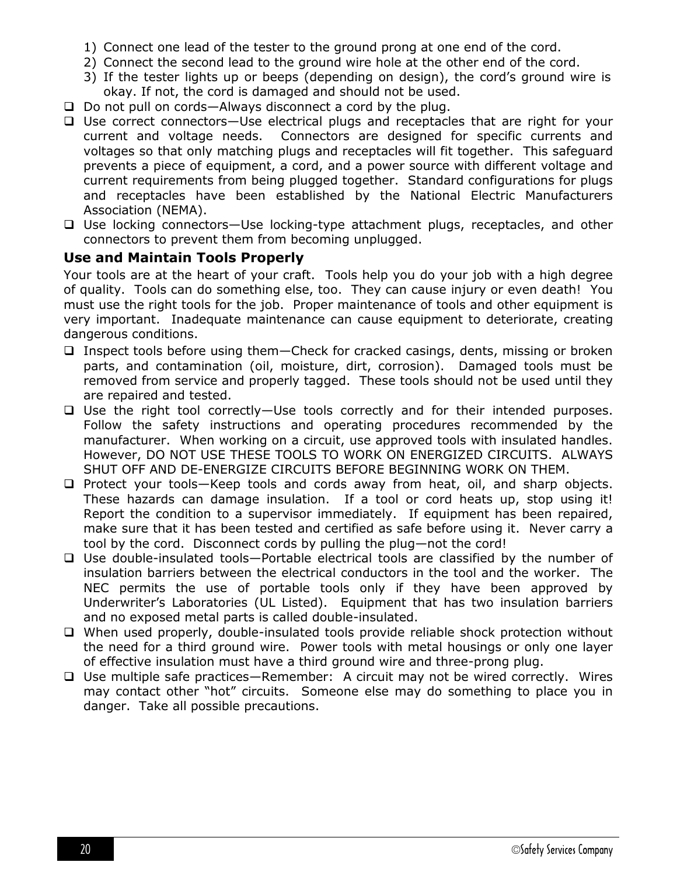- 1) Connect one lead of the tester to the ground prong at one end of the cord.
- 2) Connect the second lead to the ground wire hole at the other end of the cord.
- 3) If the tester lights up or beeps (depending on design), the cord's ground wire is okay. If not, the cord is damaged and should not be used.
- $\Box$  Do not pull on cords—Always disconnect a cord by the plug.
- □ Use correct connectors-Use electrical plugs and receptacles that are right for your current and voltage needs. Connectors are designed for specific currents and voltages so that only matching plugs and receptacles will fit together. This safeguard prevents a piece of equipment, a cord, and a power source with different voltage and current requirements from being plugged together. Standard configurations for plugs and receptacles have been established by the National Electric Manufacturers Association (NEMA).
- Use locking connectors—Use locking-type attachment plugs, receptacles, and other connectors to prevent them from becoming unplugged.

## **Use and Maintain Tools Properly**

Your tools are at the heart of your craft. Tools help you do your job with a high degree of quality. Tools can do something else, too. They can cause injury or even death! You must use the right tools for the job. Proper maintenance of tools and other equipment is very important. Inadequate maintenance can cause equipment to deteriorate, creating dangerous conditions.

- $\Box$  Inspect tools before using them—Check for cracked casings, dents, missing or broken parts, and contamination (oil, moisture, dirt, corrosion). Damaged tools must be removed from service and properly tagged. These tools should not be used until they are repaired and tested.
- Use the right tool correctly—Use tools correctly and for their intended purposes. Follow the safety instructions and operating procedures recommended by the manufacturer. When working on a circuit, use approved tools with insulated handles. However, DO NOT USE THESE TOOLS TO WORK ON ENERGIZED CIRCUITS. ALWAYS SHUT OFF AND DE-ENERGIZE CIRCUITS BEFORE BEGINNING WORK ON THEM.
- $\Box$  Protect your tools—Keep tools and cords away from heat, oil, and sharp objects. These hazards can damage insulation. If a tool or cord heats up, stop using it! Report the condition to a supervisor immediately. If equipment has been repaired, make sure that it has been tested and certified as safe before using it. Never carry a tool by the cord. Disconnect cords by pulling the plug—not the cord!
- Use double-insulated tools—Portable electrical tools are classified by the number of insulation barriers between the electrical conductors in the tool and the worker. The NEC permits the use of portable tools only if they have been approved by Underwriter's Laboratories (UL Listed). Equipment that has two insulation barriers and no exposed metal parts is called double-insulated.
- $\Box$  When used properly, double-insulated tools provide reliable shock protection without the need for a third ground wire. Power tools with metal housings or only one layer of effective insulation must have a third ground wire and three-prong plug.
- Use multiple safe practices—Remember: A circuit may not be wired correctly. Wires may contact other "hot" circuits. Someone else may do something to place you in danger. Take all possible precautions.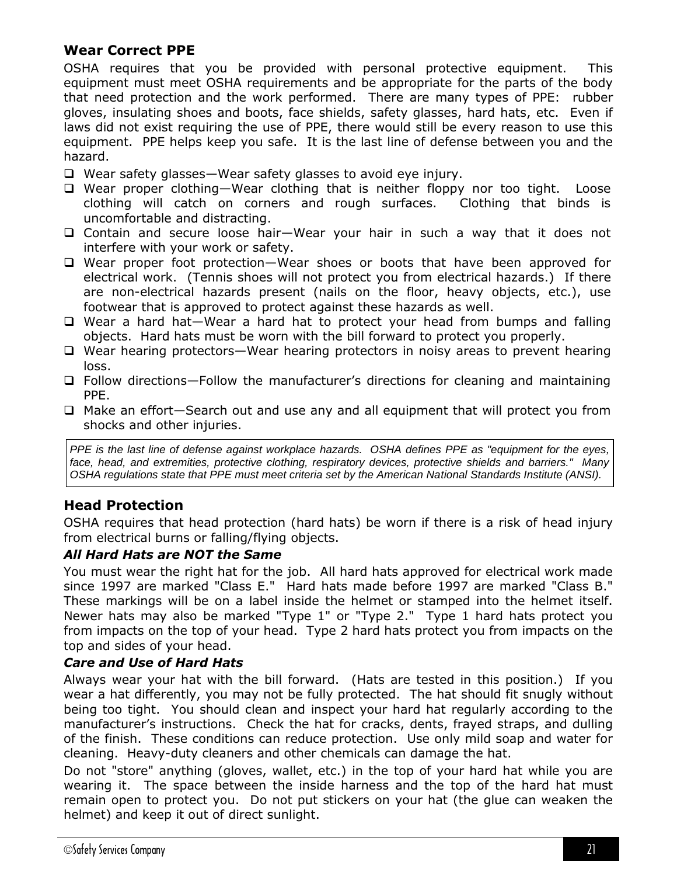## **Wear Correct PPE**

OSHA requires that you be provided with personal protective equipment. This equipment must meet OSHA requirements and be appropriate for the parts of the body that need protection and the work performed. There are many types of PPE: rubber gloves, insulating shoes and boots, face shields, safety glasses, hard hats, etc. Even if laws did not exist requiring the use of PPE, there would still be every reason to use this equipment. PPE helps keep you safe. It is the last line of defense between you and the hazard.

- $\Box$  Wear safety glasses—Wear safety glasses to avoid eye injury.
- Wear proper clothing—Wear clothing that is neither floppy nor too tight. Loose clothing will catch on corners and rough surfaces. Clothing that binds is uncomfortable and distracting.
- Contain and secure loose hair—Wear your hair in such a way that it does not interfere with your work or safety.
- Wear proper foot protection—Wear shoes or boots that have been approved for electrical work. (Tennis shoes will not protect you from electrical hazards.) If there are non-electrical hazards present (nails on the floor, heavy objects, etc.), use footwear that is approved to protect against these hazards as well.
- $\Box$  Wear a hard hat—Wear a hard hat to protect your head from bumps and falling objects. Hard hats must be worn with the bill forward to protect you properly.
- Wear hearing protectors—Wear hearing protectors in noisy areas to prevent hearing loss.
- $\Box$  Follow directions—Follow the manufacturer's directions for cleaning and maintaining PPE.
- Make an effort—Search out and use any and all equipment that will protect you from shocks and other injuries.

*PPE is the last line of defense against workplace hazards. OSHA defines PPE as "equipment for the eyes, face, head, and extremities, protective clothing, respiratory devices, protective shields and barriers." Many OSHA regulations state that PPE must meet criteria set by the American National Standards Institute (ANSI).*

# **Head Protection**

OSHA requires that head protection (hard hats) be worn if there is a risk of head injury from electrical burns or falling/flying objects.

#### *All Hard Hats are NOT the Same*

You must wear the right hat for the job. All hard hats approved for electrical work made since 1997 are marked "Class E." Hard hats made before 1997 are marked "Class B." These markings will be on a label inside the helmet or stamped into the helmet itself. Newer hats may also be marked "Type 1" or "Type 2." Type 1 hard hats protect you from impacts on the top of your head. Type 2 hard hats protect you from impacts on the top and sides of your head.

## *Care and Use of Hard Hats*

Always wear your hat with the bill forward. (Hats are tested in this position.) If you wear a hat differently, you may not be fully protected. The hat should fit snugly without being too tight. You should clean and inspect your hard hat regularly according to the manufacturer's instructions. Check the hat for cracks, dents, frayed straps, and dulling of the finish. These conditions can reduce protection. Use only mild soap and water for cleaning. Heavy-duty cleaners and other chemicals can damage the hat.

Do not "store" anything (gloves, wallet, etc.) in the top of your hard hat while you are wearing it. The space between the inside harness and the top of the hard hat must remain open to protect you. Do not put stickers on your hat (the glue can weaken the helmet) and keep it out of direct sunlight.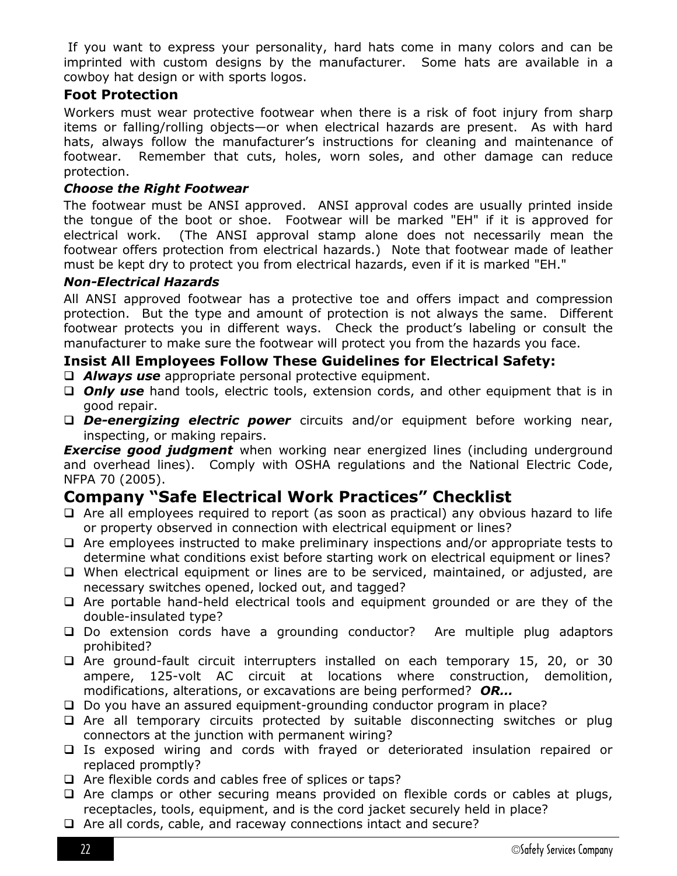If you want to express your personality, hard hats come in many colors and can be imprinted with custom designs by the manufacturer. Some hats are available in a cowboy hat design or with sports logos.

## **Foot Protection**

Workers must wear protective footwear when there is a risk of foot injury from sharp items or falling/rolling objects—or when electrical hazards are present. As with hard hats, always follow the manufacturer's instructions for cleaning and maintenance of footwear. Remember that cuts, holes, worn soles, and other damage can reduce protection.

#### *Choose the Right Footwear*

The footwear must be ANSI approved. ANSI approval codes are usually printed inside the tongue of the boot or shoe. Footwear will be marked "EH" if it is approved for electrical work. (The ANSI approval stamp alone does not necessarily mean the footwear offers protection from electrical hazards.) Note that footwear made of leather must be kept dry to protect you from electrical hazards, even if it is marked "EH."

#### *Non-Electrical Hazards*

All ANSI approved footwear has a protective toe and offers impact and compression protection. But the type and amount of protection is not always the same. Different footwear protects you in different ways. Check the product's labeling or consult the manufacturer to make sure the footwear will protect you from the hazards you face.

#### **Insist All Employees Follow These Guidelines for Electrical Safety:**

- *Always use* appropriate personal protective equipment.
- *Only use* hand tools, electric tools, extension cords, and other equipment that is in good repair.
- *De-energizing electric power* circuits and/or equipment before working near, inspecting, or making repairs.

**Exercise good judgment** when working near energized lines (including underground and overhead lines). Comply with OSHA regulations and the National Electric Code, NFPA 70 (2005).

# **Company "Safe Electrical Work Practices" Checklist**

- $\Box$  Are all employees required to report (as soon as practical) any obvious hazard to life or property observed in connection with electrical equipment or lines?
- $\Box$  Are employees instructed to make preliminary inspections and/or appropriate tests to determine what conditions exist before starting work on electrical equipment or lines?
- $\Box$  When electrical equipment or lines are to be serviced, maintained, or adjusted, are necessary switches opened, locked out, and tagged?
- $\Box$  Are portable hand-held electrical tools and equipment grounded or are they of the double-insulated type?
- □ Do extension cords have a grounding conductor? Are multiple plug adaptors prohibited?
- Are ground-fault circuit interrupters installed on each temporary 15, 20, or 30 ampere, 125-volt AC circuit at locations where construction, demolition, modifications, alterations, or excavations are being performed? *OR…*
- □ Do you have an assured equipment-grounding conductor program in place?
- $\Box$  Are all temporary circuits protected by suitable disconnecting switches or plug connectors at the junction with permanent wiring?
- Is exposed wiring and cords with frayed or deteriorated insulation repaired or replaced promptly?
- $\Box$  Are flexible cords and cables free of splices or taps?
- Are clamps or other securing means provided on flexible cords or cables at plugs, receptacles, tools, equipment, and is the cord jacket securely held in place?
- Are all cords, cable, and raceway connections intact and secure?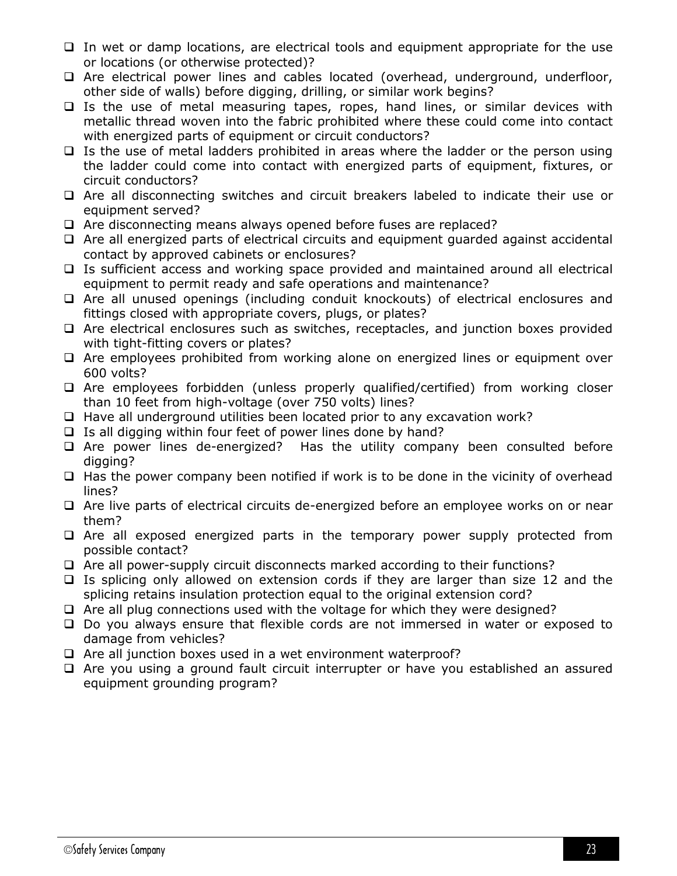- $\Box$  In wet or damp locations, are electrical tools and equipment appropriate for the use or locations (or otherwise protected)?
- Are electrical power lines and cables located (overhead, underground, underfloor, other side of walls) before digging, drilling, or similar work begins?
- $\Box$  Is the use of metal measuring tapes, ropes, hand lines, or similar devices with metallic thread woven into the fabric prohibited where these could come into contact with energized parts of equipment or circuit conductors?
- $\Box$  Is the use of metal ladders prohibited in areas where the ladder or the person using the ladder could come into contact with energized parts of equipment, fixtures, or circuit conductors?
- Are all disconnecting switches and circuit breakers labeled to indicate their use or equipment served?
- $\Box$  Are disconnecting means always opened before fuses are replaced?
- $\Box$  Are all energized parts of electrical circuits and equipment guarded against accidental contact by approved cabinets or enclosures?
- $\Box$  Is sufficient access and working space provided and maintained around all electrical equipment to permit ready and safe operations and maintenance?
- Are all unused openings (including conduit knockouts) of electrical enclosures and fittings closed with appropriate covers, plugs, or plates?
- Are electrical enclosures such as switches, receptacles, and junction boxes provided with tight-fitting covers or plates?
- $\Box$  Are employees prohibited from working alone on energized lines or equipment over 600 volts?
- $\Box$  Are employees forbidden (unless properly qualified/certified) from working closer than 10 feet from high-voltage (over 750 volts) lines?
- $\Box$  Have all underground utilities been located prior to any excavation work?
- $\Box$  Is all digging within four feet of power lines done by hand?
- Are power lines de-energized? Has the utility company been consulted before digging?
- $\Box$  Has the power company been notified if work is to be done in the vicinity of overhead lines?
- Are live parts of electrical circuits de-energized before an employee works on or near them?
- $\Box$  Are all exposed energized parts in the temporary power supply protected from possible contact?
- $\Box$  Are all power-supply circuit disconnects marked according to their functions?
- $\Box$  Is splicing only allowed on extension cords if they are larger than size 12 and the splicing retains insulation protection equal to the original extension cord?
- $\Box$  Are all plug connections used with the voltage for which they were designed?
- □ Do you always ensure that flexible cords are not immersed in water or exposed to damage from vehicles?
- $\Box$  Are all junction boxes used in a wet environment waterproof?
- Are you using a ground fault circuit interrupter or have you established an assured equipment grounding program?